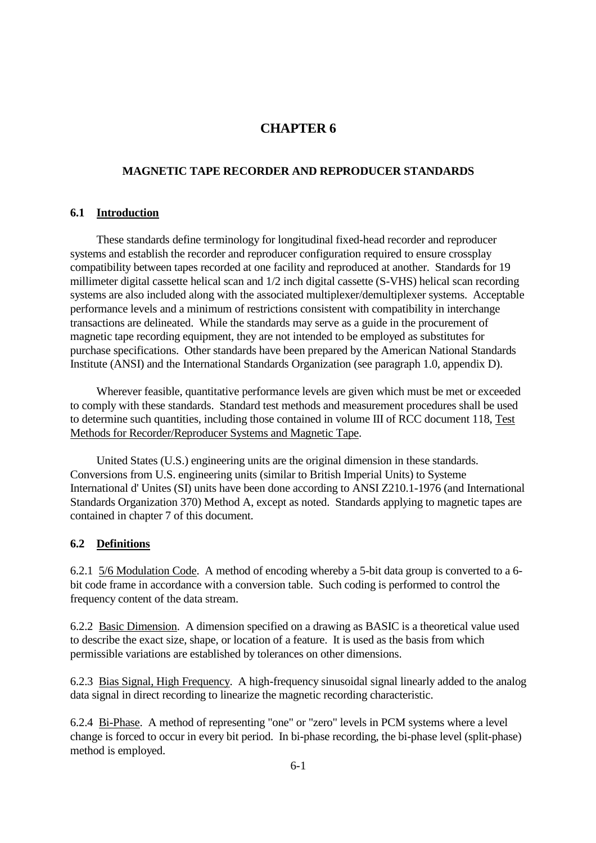# **CHAPTER 6**

#### **MAGNETIC TAPE RECORDER AND REPRODUCER STANDARDS**

#### **6.1 Introduction**

 These standards define terminology for longitudinal fixed-head recorder and reproducer systems and establish the recorder and reproducer configuration required to ensure crossplay compatibility between tapes recorded at one facility and reproduced at another. Standards for 19 millimeter digital cassette helical scan and 1/2 inch digital cassette (S-VHS) helical scan recording systems are also included along with the associated multiplexer/demultiplexer systems. Acceptable performance levels and a minimum of restrictions consistent with compatibility in interchange transactions are delineated. While the standards may serve as a guide in the procurement of magnetic tape recording equipment, they are not intended to be employed as substitutes for purchase specifications. Other standards have been prepared by the American National Standards Institute (ANSI) and the International Standards Organization (see paragraph 1.0, appendix D).

 Wherever feasible, quantitative performance levels are given which must be met or exceeded to comply with these standards. Standard test methods and measurement procedures shall be used to determine such quantities, including those contained in volume III of RCC document 118, Test Methods for Recorder/Reproducer Systems and Magnetic Tape.

 United States (U.S.) engineering units are the original dimension in these standards. Conversions from U.S. engineering units (similar to British Imperial Units) to Systeme International d' Unites (SI) units have been done according to ANSI Z210.1-1976 (and International Standards Organization 370) Method A, except as noted. Standards applying to magnetic tapes are contained in chapter 7 of this document.

#### **6.2 Definitions**

6.2.1 5/6 Modulation Code. A method of encoding whereby a 5-bit data group is converted to a 6 bit code frame in accordance with a conversion table. Such coding is performed to control the frequency content of the data stream.

6.2.2 Basic Dimension. A dimension specified on a drawing as BASIC is a theoretical value used to describe the exact size, shape, or location of a feature. It is used as the basis from which permissible variations are established by tolerances on other dimensions.

6.2.3 Bias Signal, High Frequency. A high-frequency sinusoidal signal linearly added to the analog data signal in direct recording to linearize the magnetic recording characteristic.

6.2.4 Bi-Phase. A method of representing "one" or "zero" levels in PCM systems where a level change is forced to occur in every bit period. In bi-phase recording, the bi-phase level (split-phase) method is employed.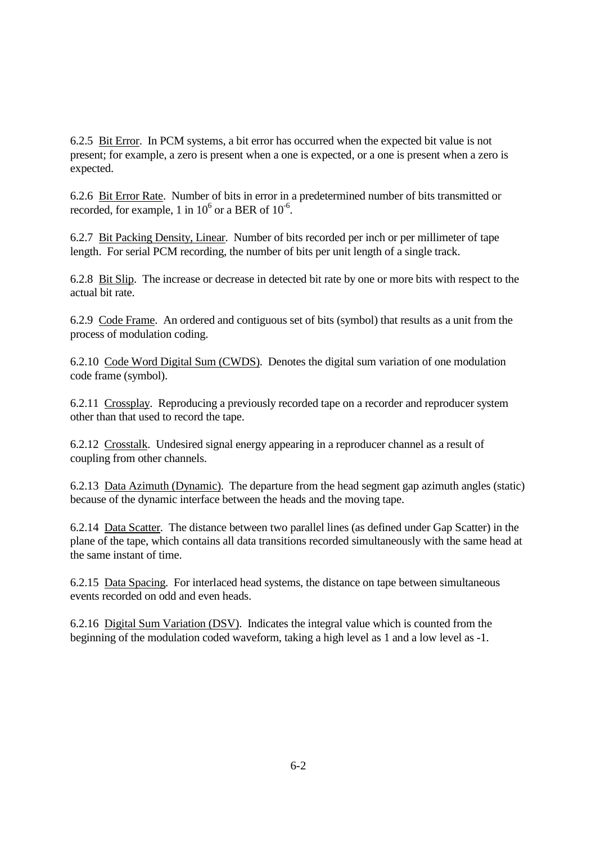6.2.5 Bit Error. In PCM systems, a bit error has occurred when the expected bit value is not present; for example, a zero is present when a one is expected, or a one is present when a zero is expected.

6.2.6 Bit Error Rate. Number of bits in error in a predetermined number of bits transmitted or recorded, for example, 1 in  $10^6$  or a BER of  $10^{-6}$ .

6.2.7 Bit Packing Density, Linear. Number of bits recorded per inch or per millimeter of tape length. For serial PCM recording, the number of bits per unit length of a single track.

6.2.8 Bit Slip. The increase or decrease in detected bit rate by one or more bits with respect to the actual bit rate.

6.2.9 Code Frame. An ordered and contiguous set of bits (symbol) that results as a unit from the process of modulation coding.

6.2.10 Code Word Digital Sum (CWDS). Denotes the digital sum variation of one modulation code frame (symbol).

6.2.11 Crossplay. Reproducing a previously recorded tape on a recorder and reproducer system other than that used to record the tape.

6.2.12 Crosstalk. Undesired signal energy appearing in a reproducer channel as a result of coupling from other channels.

6.2.13 Data Azimuth (Dynamic). The departure from the head segment gap azimuth angles (static) because of the dynamic interface between the heads and the moving tape.

6.2.14 Data Scatter. The distance between two parallel lines (as defined under Gap Scatter) in the plane of the tape, which contains all data transitions recorded simultaneously with the same head at the same instant of time.

6.2.15 Data Spacing. For interlaced head systems, the distance on tape between simultaneous events recorded on odd and even heads.

6.2.16 Digital Sum Variation (DSV). Indicates the integral value which is counted from the beginning of the modulation coded waveform, taking a high level as 1 and a low level as -1.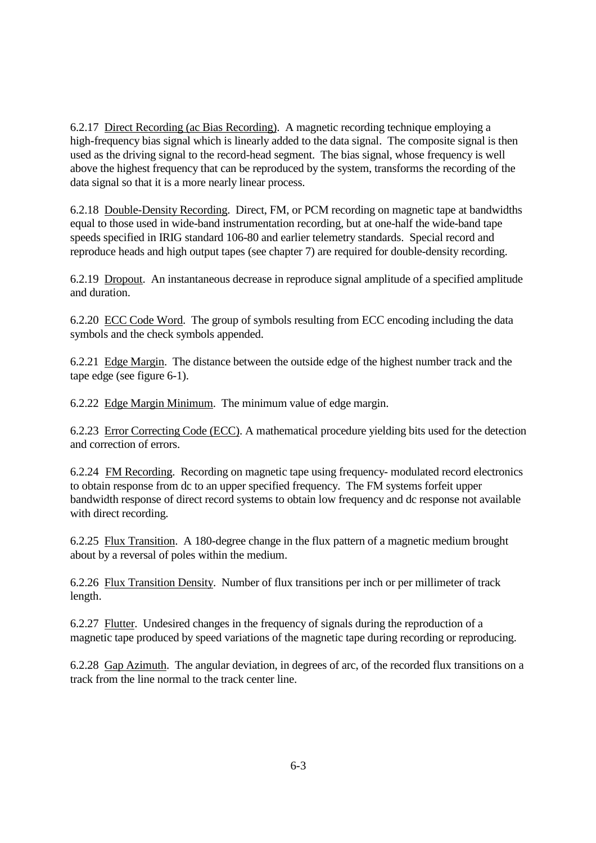6.2.17 Direct Recording (ac Bias Recording). A magnetic recording technique employing a high-frequency bias signal which is linearly added to the data signal. The composite signal is then used as the driving signal to the record-head segment. The bias signal, whose frequency is well above the highest frequency that can be reproduced by the system, transforms the recording of the data signal so that it is a more nearly linear process.

6.2.18 Double-Density Recording. Direct, FM, or PCM recording on magnetic tape at bandwidths equal to those used in wide-band instrumentation recording, but at one-half the wide-band tape speeds specified in IRIG standard 106-80 and earlier telemetry standards. Special record and reproduce heads and high output tapes (see chapter 7) are required for double-density recording.

6.2.19 Dropout. An instantaneous decrease in reproduce signal amplitude of a specified amplitude and duration.

6.2.20 ECC Code Word. The group of symbols resulting from ECC encoding including the data symbols and the check symbols appended.

6.2.21 Edge Margin. The distance between the outside edge of the highest number track and the tape edge (see figure 6-1).

6.2.22 Edge Margin Minimum. The minimum value of edge margin.

6.2.23 Error Correcting Code (ECC). A mathematical procedure yielding bits used for the detection and correction of errors.

6.2.24 FM Recording. Recording on magnetic tape using frequency- modulated record electronics to obtain response from dc to an upper specified frequency. The FM systems forfeit upper bandwidth response of direct record systems to obtain low frequency and dc response not available with direct recording.

6.2.25 Flux Transition. A 180-degree change in the flux pattern of a magnetic medium brought about by a reversal of poles within the medium.

6.2.26 Flux Transition Density. Number of flux transitions per inch or per millimeter of track length.

6.2.27 Flutter. Undesired changes in the frequency of signals during the reproduction of a magnetic tape produced by speed variations of the magnetic tape during recording or reproducing.

6.2.28 Gap Azimuth. The angular deviation, in degrees of arc, of the recorded flux transitions on a track from the line normal to the track center line.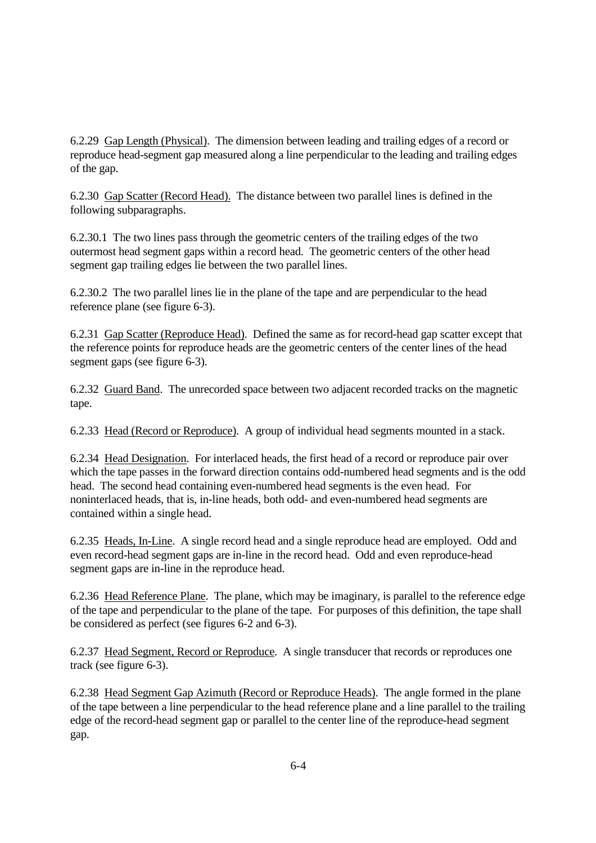6.2.29 Gap Length (Physical). The dimension between leading and trailing edges of a record or reproduce head-segment gap measured along a line perpendicular to the leading and trailing edges of the gap.

6.2.30 Gap Scatter (Record Head). The distance between two parallel lines is defined in the following subparagraphs.

6.2.30.1 The two lines pass through the geometric centers of the trailing edges of the two outermost head segment gaps within a record head. The geometric centers of the other head segment gap trailing edges lie between the two parallel lines.

6.2.30.2 The two parallel lines lie in the plane of the tape and are perpendicular to the head reference plane (see figure 6-3).

6.2.31 Gap Scatter (Reproduce Head). Defined the same as for record-head gap scatter except that the reference points for reproduce heads are the geometric centers of the center lines of the head segment gaps (see figure 6-3).

6.2.32 Guard Band. The unrecorded space between two adjacent recorded tracks on the magnetic tape.

6.2.33 Head (Record or Reproduce). A group of individual head segments mounted in a stack.

6.2.34 Head Designation. For interlaced heads, the first head of a record or reproduce pair over which the tape passes in the forward direction contains odd-numbered head segments and is the odd head. The second head containing even-numbered head segments is the even head. For noninterlaced heads, that is, in-line heads, both odd- and even-numbered head segments are contained within a single head.

6.2.35 Heads, In-Line. A single record head and a single reproduce head are employed. Odd and even record-head segment gaps are in-line in the record head. Odd and even reproduce-head segment gaps are in-line in the reproduce head.

6.2.36 Head Reference Plane. The plane, which may be imaginary, is parallel to the reference edge of the tape and perpendicular to the plane of the tape. For purposes of this definition, the tape shall be considered as perfect (see figures 6-2 and 6-3).

6.2.37 Head Segment, Record or Reproduce. A single transducer that records or reproduces one track (see figure 6-3).

6.2.38 Head Segment Gap Azimuth (Record or Reproduce Heads). The angle formed in the plane of the tape between a line perpendicular to the head reference plane and a line parallel to the trailing edge of the record-head segment gap or parallel to the center line of the reproduce-head segment gap.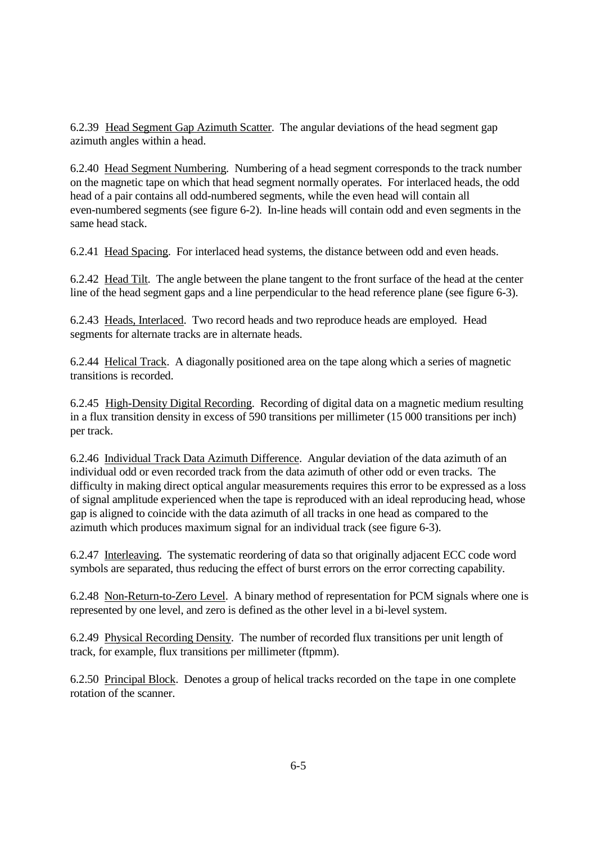6.2.39 Head Segment Gap Azimuth Scatter. The angular deviations of the head segment gap azimuth angles within a head.

6.2.40 Head Segment Numbering. Numbering of a head segment corresponds to the track number on the magnetic tape on which that head segment normally operates. For interlaced heads, the odd head of a pair contains all odd-numbered segments, while the even head will contain all even-numbered segments (see figure 6-2). In-line heads will contain odd and even segments in the same head stack.

6.2.41 Head Spacing. For interlaced head systems, the distance between odd and even heads.

6.2.42 Head Tilt. The angle between the plane tangent to the front surface of the head at the center line of the head segment gaps and a line perpendicular to the head reference plane (see figure 6-3).

6.2.43 Heads, Interlaced. Two record heads and two reproduce heads are employed. Head segments for alternate tracks are in alternate heads.

6.2.44 Helical Track. A diagonally positioned area on the tape along which a series of magnetic transitions is recorded.

6.2.45 High-Density Digital Recording. Recording of digital data on a magnetic medium resulting in a flux transition density in excess of 590 transitions per millimeter (15 000 transitions per inch) per track.

6.2.46 Individual Track Data Azimuth Difference. Angular deviation of the data azimuth of an individual odd or even recorded track from the data azimuth of other odd or even tracks. The difficulty in making direct optical angular measurements requires this error to be expressed as a loss of signal amplitude experienced when the tape is reproduced with an ideal reproducing head, whose gap is aligned to coincide with the data azimuth of all tracks in one head as compared to the azimuth which produces maximum signal for an individual track (see figure 6-3).

6.2.47 Interleaving. The systematic reordering of data so that originally adjacent ECC code word symbols are separated, thus reducing the effect of burst errors on the error correcting capability.

6.2.48 Non-Return-to-Zero Level. A binary method of representation for PCM signals where one is represented by one level, and zero is defined as the other level in a bi-level system.

6.2.49 Physical Recording Density. The number of recorded flux transitions per unit length of track, for example, flux transitions per millimeter (ftpmm).

6.2.50 Principal Block. Denotes a group of helical tracks recorded on the tape in one complete rotation of the scanner.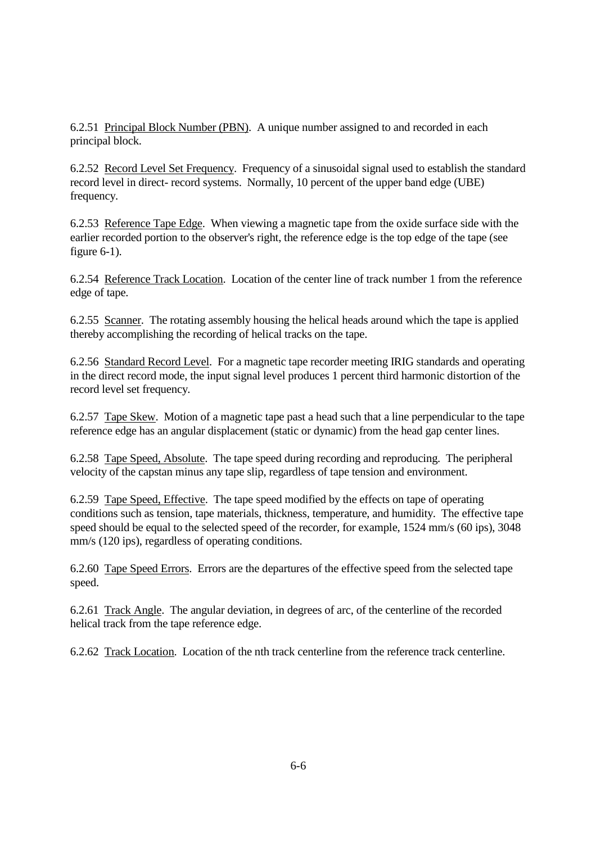6.2.51 Principal Block Number (PBN). A unique number assigned to and recorded in each principal block.

6.2.52 Record Level Set Frequency. Frequency of a sinusoidal signal used to establish the standard record level in direct- record systems. Normally, 10 percent of the upper band edge (UBE) frequency.

6.2.53 Reference Tape Edge. When viewing a magnetic tape from the oxide surface side with the earlier recorded portion to the observer's right, the reference edge is the top edge of the tape (see figure 6-1).

6.2.54 Reference Track Location. Location of the center line of track number 1 from the reference edge of tape.

6.2.55 Scanner. The rotating assembly housing the helical heads around which the tape is applied thereby accomplishing the recording of helical tracks on the tape.

6.2.56 Standard Record Level. For a magnetic tape recorder meeting IRIG standards and operating in the direct record mode, the input signal level produces 1 percent third harmonic distortion of the record level set frequency.

6.2.57 Tape Skew. Motion of a magnetic tape past a head such that a line perpendicular to the tape reference edge has an angular displacement (static or dynamic) from the head gap center lines.

6.2.58 Tape Speed, Absolute. The tape speed during recording and reproducing. The peripheral velocity of the capstan minus any tape slip, regardless of tape tension and environment.

6.2.59 Tape Speed, Effective. The tape speed modified by the effects on tape of operating conditions such as tension, tape materials, thickness, temperature, and humidity. The effective tape speed should be equal to the selected speed of the recorder, for example, 1524 mm/s (60 ips), 3048 mm/s (120 ips), regardless of operating conditions.

6.2.60 Tape Speed Errors. Errors are the departures of the effective speed from the selected tape speed.

6.2.61 Track Angle. The angular deviation, in degrees of arc, of the centerline of the recorded helical track from the tape reference edge.

6.2.62 Track Location. Location of the nth track centerline from the reference track centerline.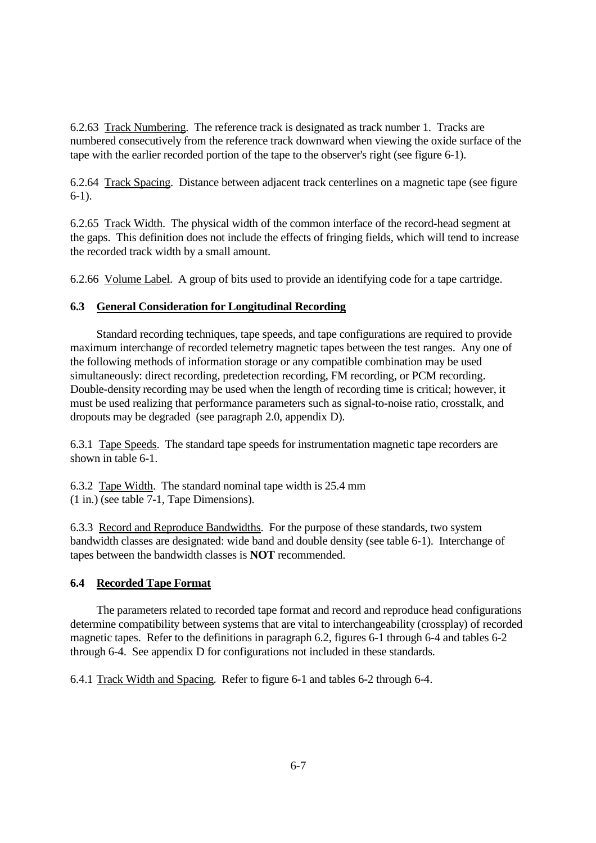6.2.63 Track Numbering. The reference track is designated as track number 1. Tracks are numbered consecutively from the reference track downward when viewing the oxide surface of the tape with the earlier recorded portion of the tape to the observer's right (see figure 6-1).

6.2.64 Track Spacing. Distance between adjacent track centerlines on a magnetic tape (see figure 6-1).

6.2.65 Track Width. The physical width of the common interface of the record-head segment at the gaps. This definition does not include the effects of fringing fields, which will tend to increase the recorded track width by a small amount.

6.2.66 Volume Label. A group of bits used to provide an identifying code for a tape cartridge.

#### **6.3 General Consideration for Longitudinal Recording**

 Standard recording techniques, tape speeds, and tape configurations are required to provide maximum interchange of recorded telemetry magnetic tapes between the test ranges. Any one of the following methods of information storage or any compatible combination may be used simultaneously: direct recording, predetection recording, FM recording, or PCM recording. Double-density recording may be used when the length of recording time is critical; however, it must be used realizing that performance parameters such as signal-to-noise ratio, crosstalk, and dropouts may be degraded (see paragraph 2.0, appendix D).

6.3.1 Tape Speeds. The standard tape speeds for instrumentation magnetic tape recorders are shown in table 6-1.

6.3.2 Tape Width. The standard nominal tape width is 25.4 mm (1 in.) (see table 7-1, Tape Dimensions).

6.3.3 Record and Reproduce Bandwidths. For the purpose of these standards, two system bandwidth classes are designated: wide band and double density (see table 6-1). Interchange of tapes between the bandwidth classes is **NOT** recommended.

## **6.4 Recorded Tape Format**

 The parameters related to recorded tape format and record and reproduce head configurations determine compatibility between systems that are vital to interchangeability (crossplay) of recorded magnetic tapes. Refer to the definitions in paragraph 6.2, figures 6-1 through 6-4 and tables 6-2 through 6-4. See appendix D for configurations not included in these standards.

6.4.1 Track Width and Spacing. Refer to figure 6-1 and tables 6-2 through 6-4.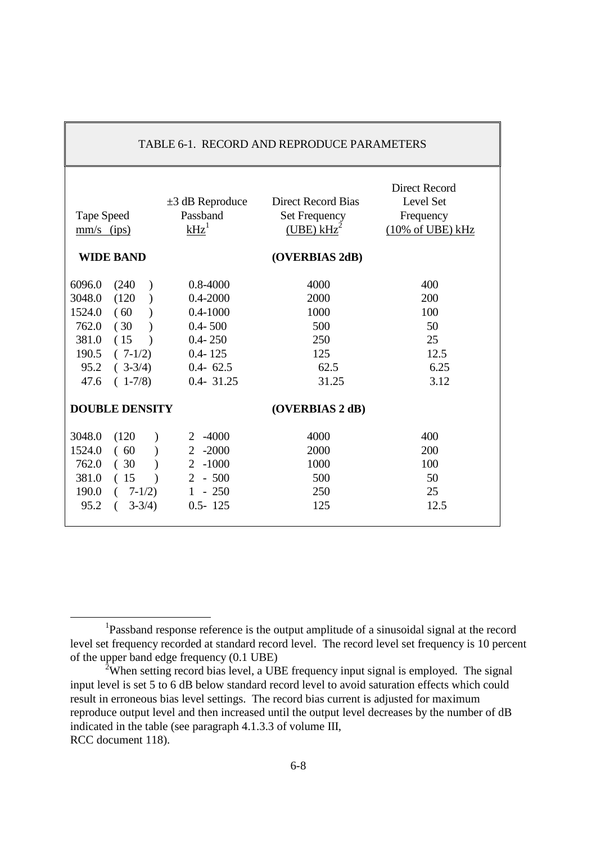|                                                                       | TADLE 0-1. RECORD AND REI RODUCE I ARAMETERS                                                   |                                                                                                                            |                                                                    |                                                                                       |  |  |  |
|-----------------------------------------------------------------------|------------------------------------------------------------------------------------------------|----------------------------------------------------------------------------------------------------------------------------|--------------------------------------------------------------------|---------------------------------------------------------------------------------------|--|--|--|
| Tape Speed<br>$\frac{mm}{s}$ (ips)                                    |                                                                                                | $\pm 3$ dB Reproduce<br>Passband<br>$kHz$ <sup>1</sup>                                                                     | <b>Direct Record Bias</b><br><b>Set Frequency</b><br>(UBE) $kHz^2$ | <b>Direct Record</b><br>Level Set<br>Frequency<br>$(10\% \text{ of UBE}) \text{ kHz}$ |  |  |  |
|                                                                       | <b>WIDE BAND</b>                                                                               |                                                                                                                            | (OVERBIAS 2dB)                                                     |                                                                                       |  |  |  |
| 6096.0<br>3048.0<br>1524.0<br>762.0<br>381.0<br>190.5<br>95.2<br>47.6 | (240)<br>(120)<br>$\mathcal{E}$<br>(60)<br>(30)<br>(15)<br>$(7-1/2)$<br>$(3-3/4)$<br>$(1-7/8)$ | $0.8 - 4000$<br>$0.4 - 2000$<br>$0.4 - 1000$<br>$0.4 - 500$<br>$0.4 - 250$<br>$0.4 - 125$<br>$0.4 - 62.5$<br>$0.4 - 31.25$ | 4000<br>2000<br>1000<br>500<br>250<br>125<br>62.5<br>31.25         | 400<br>200<br>100<br>50<br>25<br>12.5<br>6.25<br>3.12                                 |  |  |  |
|                                                                       | <b>DOUBLE DENSITY</b>                                                                          |                                                                                                                            | (OVERBIAS 2 dB)                                                    |                                                                                       |  |  |  |
| 3048.0<br>1524.0<br>762.0<br>381.0<br>190.0<br>95.2                   | (120)<br>(60)<br>(30)<br>(15)<br>$7-1/2)$<br>$\left($<br>$3 - 3/4$ )                           | -4000<br>2<br>$-2000$<br>2<br>$-1000$<br>2<br>$-500$<br>2<br>$1 - 250$<br>$0.5 - 125$                                      | 4000<br>2000<br>1000<br>500<br>250<br>125                          | 400<br>200<br>100<br>50<br>25<br>12.5                                                 |  |  |  |

## TABLE 6-1. RECORD AND REPRODUCE PARAMETERS

-

<sup>&</sup>lt;sup>1</sup>Passband response reference is the output amplitude of a sinusoidal signal at the record level set frequency recorded at standard record level. The record level set frequency is 10 percent of the upper band edge frequency (0.1 UBE)

<sup>&</sup>lt;sup>2</sup>When setting record bias level, a UBE frequency input signal is employed. The signal input level is set 5 to 6 dB below standard record level to avoid saturation effects which could result in erroneous bias level settings. The record bias current is adjusted for maximum reproduce output level and then increased until the output level decreases by the number of dB indicated in the table (see paragraph 4.1.3.3 of volume III, RCC document 118).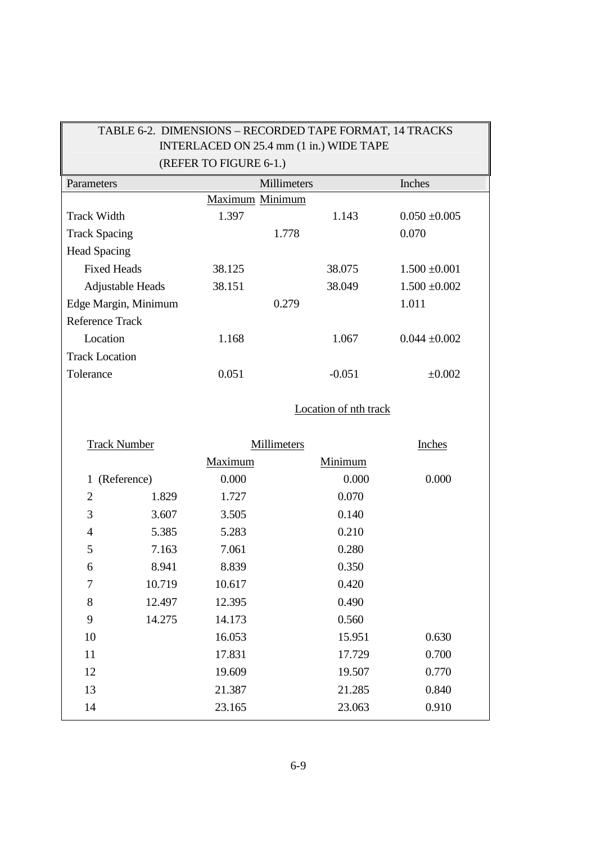| TABLE 6-2. DIMENSIONS - RECORDED TAPE FORMAT, 14 TRACKS |                    |                       |                   |  |  |  |  |
|---------------------------------------------------------|--------------------|-----------------------|-------------------|--|--|--|--|
| INTERLACED ON 25.4 mm (1 in.) WIDE TAPE                 |                    |                       |                   |  |  |  |  |
| (REFER TO FIGURE 6-1.)                                  |                    |                       |                   |  |  |  |  |
| Parameters                                              | Millimeters        |                       | Inches            |  |  |  |  |
|                                                         | Maximum Minimum    |                       |                   |  |  |  |  |
| <b>Track Width</b>                                      | 1.397              | 1.143                 | $0.050 \pm 0.005$ |  |  |  |  |
| <b>Track Spacing</b>                                    |                    | 1.778                 | 0.070             |  |  |  |  |
| <b>Head Spacing</b>                                     |                    |                       |                   |  |  |  |  |
| <b>Fixed Heads</b>                                      | 38.125             | 38.075                | $1.500 \pm 0.001$ |  |  |  |  |
| <b>Adjustable Heads</b>                                 | 38.151             | 38.049                | $1.500 + 0.002$   |  |  |  |  |
| Edge Margin, Minimum                                    |                    | 0.279                 | 1.011             |  |  |  |  |
| <b>Reference Track</b>                                  |                    |                       |                   |  |  |  |  |
| Location                                                | 1.168              | 1.067                 | $0.044 \pm 0.002$ |  |  |  |  |
| <b>Track Location</b>                                   |                    |                       |                   |  |  |  |  |
| Tolerance                                               | 0.051              | $-0.051$              | $\pm 0.002$       |  |  |  |  |
|                                                         |                    |                       |                   |  |  |  |  |
|                                                         |                    | Location of nth track |                   |  |  |  |  |
| <b>Track Number</b>                                     | <b>Millimeters</b> |                       | <b>Inches</b>     |  |  |  |  |
|                                                         | Maximum            | Minimum               |                   |  |  |  |  |
| 1 (Reference)                                           | 0.000              | 0.000                 | 0.000             |  |  |  |  |
| $\overline{2}$<br>1.829                                 | 1.727              | 0.070                 |                   |  |  |  |  |
| 3<br>3.607                                              | 3.505              | 0.140                 |                   |  |  |  |  |
| $\overline{4}$<br>5.385                                 | 5.283              | 0.210                 |                   |  |  |  |  |
| 5<br>7.163                                              | 7.061              | 0.280                 |                   |  |  |  |  |
| 6<br>8.941                                              | 8.839              | 0.350                 |                   |  |  |  |  |
| $\tau$<br>10.719                                        | 10.617             | 0.420                 |                   |  |  |  |  |
| $8\,$<br>12.497                                         | 12.395             | 0.490                 |                   |  |  |  |  |
| 9<br>14.275                                             | 14.173             | 0.560                 |                   |  |  |  |  |
| 10                                                      | 16.053             | 15.951                | 0.630             |  |  |  |  |
| 11                                                      | 17.831             | 17.729                | 0.700             |  |  |  |  |
| 12                                                      | 19.609             | 19.507                | 0.770             |  |  |  |  |
| 13                                                      | 21.387             | 21.285                | 0.840             |  |  |  |  |
| 14                                                      | 23.165             | 23.063                | 0.910             |  |  |  |  |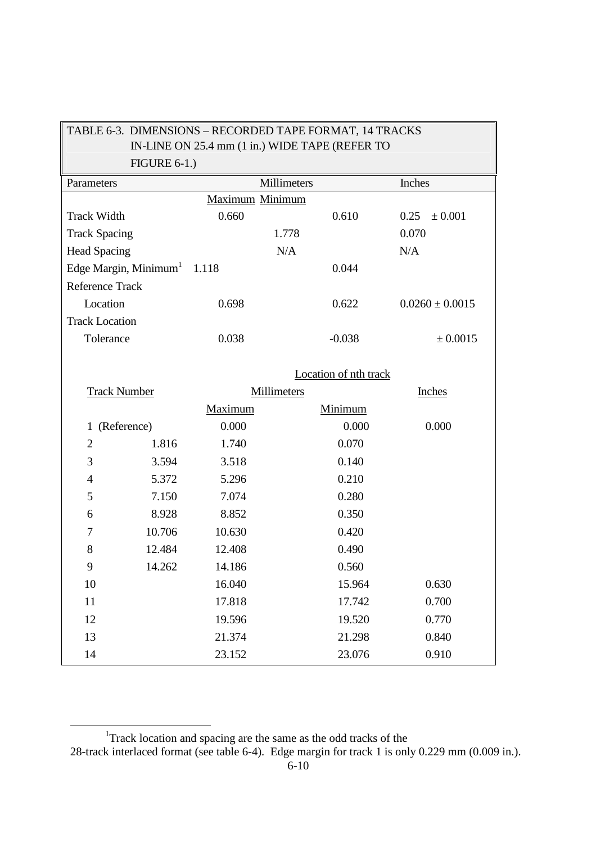| TABLE 6-3. DIMENSIONS - RECORDED TAPE FORMAT, 14 TRACKS |                                                |                 |                       |                     |  |  |  |  |  |
|---------------------------------------------------------|------------------------------------------------|-----------------|-----------------------|---------------------|--|--|--|--|--|
|                                                         | IN-LINE ON 25.4 mm (1 in.) WIDE TAPE (REFER TO |                 |                       |                     |  |  |  |  |  |
|                                                         | FIGURE $6-1$ .)                                |                 |                       |                     |  |  |  |  |  |
| Parameters                                              |                                                |                 | Millimeters           | Inches              |  |  |  |  |  |
|                                                         |                                                | Maximum Minimum |                       |                     |  |  |  |  |  |
| <b>Track Width</b>                                      |                                                | 0.660           | 0.610                 | $\pm 0.001$<br>0.25 |  |  |  |  |  |
| <b>Track Spacing</b>                                    |                                                |                 | 1.778                 | 0.070               |  |  |  |  |  |
| <b>Head Spacing</b>                                     |                                                |                 | N/A                   | N/A                 |  |  |  |  |  |
|                                                         | Edge Margin, Minimum <sup>1</sup>              | 1.118           | 0.044                 |                     |  |  |  |  |  |
| <b>Reference Track</b>                                  |                                                |                 |                       |                     |  |  |  |  |  |
| Location                                                |                                                | 0.698           | 0.622                 | $0.0260 \pm 0.0015$ |  |  |  |  |  |
| <b>Track Location</b>                                   |                                                |                 |                       |                     |  |  |  |  |  |
| Tolerance                                               |                                                | 0.038           | $-0.038$              | ± 0.0015            |  |  |  |  |  |
|                                                         |                                                |                 |                       |                     |  |  |  |  |  |
|                                                         |                                                |                 | Location of nth track |                     |  |  |  |  |  |
|                                                         | <b>Track Number</b>                            | Millimeters     | <b>Inches</b>         |                     |  |  |  |  |  |
|                                                         |                                                | Maximum         | Minimum               |                     |  |  |  |  |  |
| $\mathbf{1}$                                            | (Reference)                                    | 0.000           | 0.000                 | 0.000               |  |  |  |  |  |
| $\overline{2}$                                          | 1.816                                          | 1.740           | 0.070                 |                     |  |  |  |  |  |
| 3                                                       | 3.594                                          | 3.518           | 0.140                 |                     |  |  |  |  |  |
| 4                                                       | 5.372                                          | 5.296           | 0.210                 |                     |  |  |  |  |  |
| 5                                                       | 7.150                                          | 7.074           | 0.280                 |                     |  |  |  |  |  |
| 6                                                       | 8.928                                          | 8.852           | 0.350                 |                     |  |  |  |  |  |
| 7                                                       | 10.706                                         | 10.630          | 0.420                 |                     |  |  |  |  |  |
| 8                                                       | 12.484                                         | 12.408          | 0.490                 |                     |  |  |  |  |  |
| 9                                                       | 14.262                                         | 14.186          | 0.560                 |                     |  |  |  |  |  |
| 10                                                      |                                                | 16.040          | 15.964                | 0.630               |  |  |  |  |  |
| 11                                                      |                                                | 17.818          | 17.742                | 0.700               |  |  |  |  |  |
| 12                                                      |                                                | 19.596          | 19.520                | 0.770               |  |  |  |  |  |
| 13                                                      |                                                | 21.374          | 21.298                | 0.840               |  |  |  |  |  |
| 14                                                      |                                                | 23.152          | 23.076                | 0.910               |  |  |  |  |  |

<sup>&</sup>lt;sup>1</sup>Track location and spacing are the same as the odd tracks of the

<sup>28-</sup>track interlaced format (see table 6-4). Edge margin for track 1 is only 0.229 mm (0.009 in.).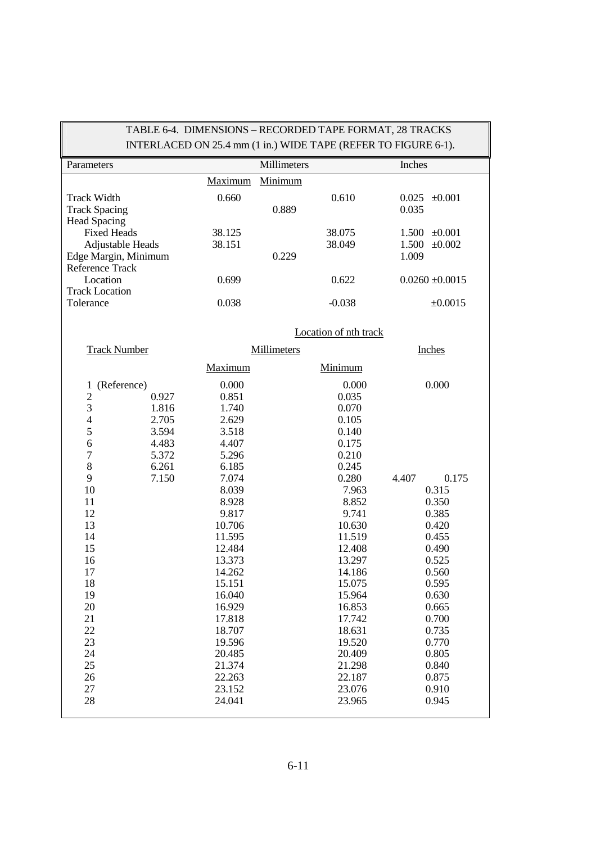|                                                |       |                  |             |                       | TABLE 6-4. DIMENSIONS - RECORDED TAPE FORMAT, 28 TRACKS        |
|------------------------------------------------|-------|------------------|-------------|-----------------------|----------------------------------------------------------------|
|                                                |       |                  |             |                       | INTERLACED ON 25.4 mm (1 in.) WIDE TAPE (REFER TO FIGURE 6-1). |
| Parameters                                     |       |                  | Millimeters |                       | Inches                                                         |
|                                                |       | Maximum          | Minimum     |                       |                                                                |
| <b>Track Width</b>                             |       | 0.660            |             | 0.610                 | 0.025<br>$\pm 0.001$                                           |
| <b>Track Spacing</b>                           |       |                  | 0.889       |                       | 0.035                                                          |
| <b>Head Spacing</b>                            |       |                  |             |                       |                                                                |
| <b>Fixed Heads</b>                             |       | 38.125           |             | 38.075                | $1.500 \pm 0.001$                                              |
| Adjustable Heads                               |       | 38.151           | 0.229       | 38.049                | $1.500 \pm 0.002$<br>1.009                                     |
| Edge Margin, Minimum<br><b>Reference Track</b> |       |                  |             |                       |                                                                |
| Location                                       |       | 0.699            |             | 0.622                 | $0.0260 \pm 0.0015$                                            |
| <b>Track Location</b>                          |       |                  |             |                       |                                                                |
| Tolerance                                      |       | 0.038            |             | $-0.038$              | ±0.0015                                                        |
|                                                |       |                  |             | Location of nth track |                                                                |
| <b>Track Number</b>                            |       |                  | Millimeters |                       | Inches                                                         |
|                                                |       | Maximum          |             | Minimum               |                                                                |
| (Reference)<br>1                               |       | 0.000            |             | 0.000                 | 0.000                                                          |
| $\overline{c}$                                 | 0.927 | 0.851            |             | 0.035                 |                                                                |
| $\overline{3}$                                 | 1.816 | 1.740            |             | 0.070                 |                                                                |
| $\overline{4}$                                 | 2.705 | 2.629            |             | 0.105                 |                                                                |
| 5                                              | 3.594 | 3.518            |             | 0.140                 |                                                                |
| 6                                              | 4.483 | 4.407            |             | 0.175                 |                                                                |
| 7                                              | 5.372 | 5.296            |             | 0.210                 |                                                                |
| 8                                              | 6.261 | 6.185            |             | 0.245                 |                                                                |
| 9<br>10                                        | 7.150 | 7.074<br>8.039   |             | 0.280<br>7.963        | 4.407<br>0.175<br>0.315                                        |
| 11                                             |       | 8.928            |             | 8.852                 | 0.350                                                          |
| 12                                             |       | 9.817            |             | 9.741                 | 0.385                                                          |
| 13                                             |       | 10.706           |             | 10.630                | 0.420                                                          |
| 14                                             |       | 11.595           |             | 11.519                | 0.455                                                          |
| 15                                             |       | 12.484           |             | 12.408                | 0.490                                                          |
| 16                                             |       | 13.373           |             | 13.297                | 0.525                                                          |
| 17                                             |       | 14.262           |             | 14.186                | 0.560                                                          |
| 18                                             |       | 15.151           |             | 15.075                | 0.595                                                          |
| 19                                             |       | 16.040           |             | 15.964                | 0.630                                                          |
| 20                                             |       | 16.929           |             | 16.853                | 0.665                                                          |
| 21                                             |       | 17.818           |             | 17.742                | 0.700                                                          |
| 22                                             |       | 18.707           |             | 18.631                | 0.735                                                          |
| 23                                             |       | 19.596           |             | 19.520                | 0.770                                                          |
| 24                                             |       | 20.485           |             | 20.409                | 0.805                                                          |
| 25                                             |       | 21.374           |             | 21.298                | 0.840                                                          |
| 26                                             |       | 22.263<br>23.152 |             | 22.187                | 0.875                                                          |
| 27<br>28                                       |       | 24.041           |             | 23.076<br>23.965      | 0.910<br>0.945                                                 |
|                                                |       |                  |             |                       |                                                                |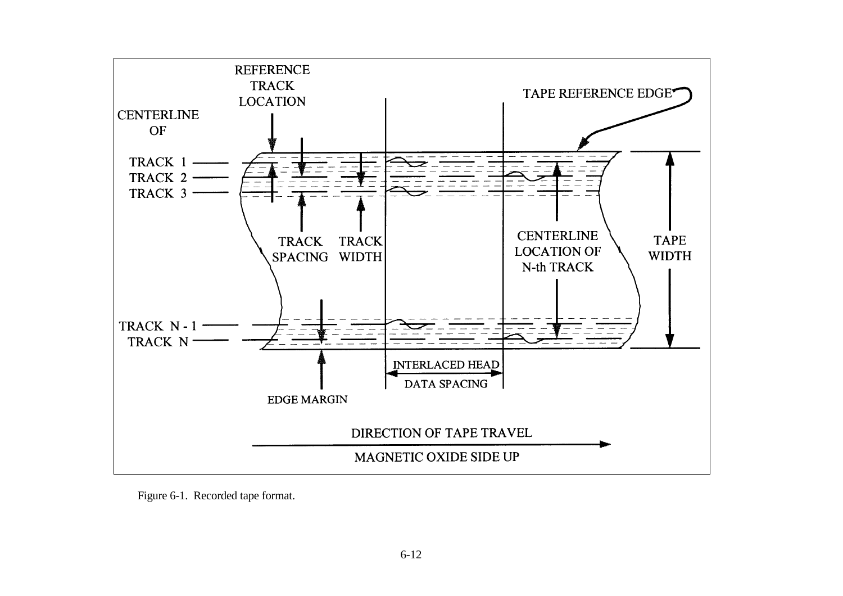

Figure 6-1. Recorded tape format.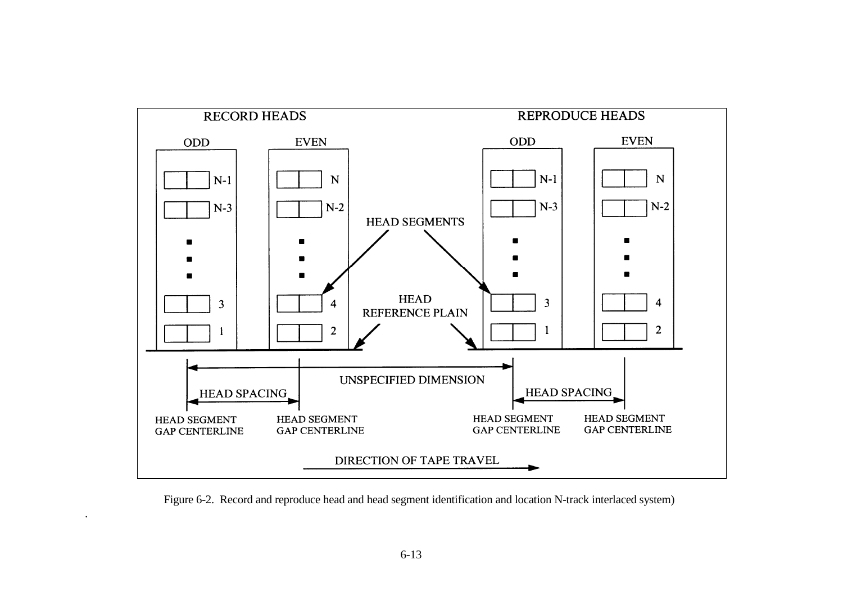

Figure 6-2. Record and reproduce head and head segment identification and location N-track interlaced system)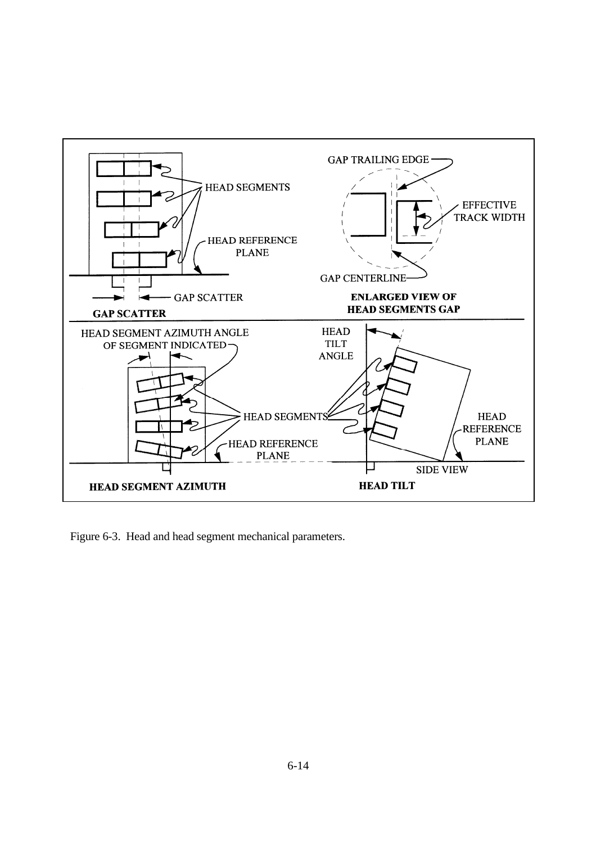

Figure 6-3. Head and head segment mechanical parameters.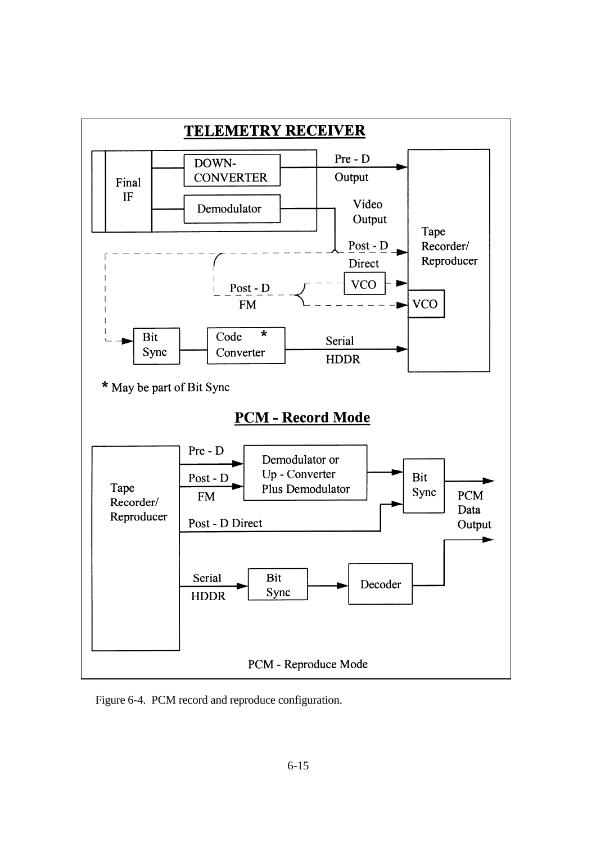

Figure 6-4. PCM record and reproduce configuration.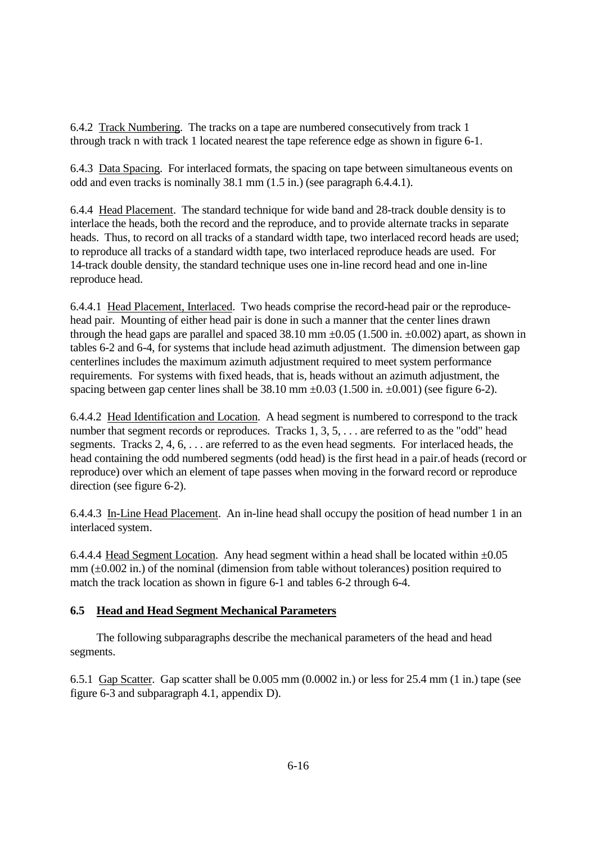6.4.2 Track Numbering. The tracks on a tape are numbered consecutively from track 1 through track n with track 1 located nearest the tape reference edge as shown in figure 6-1.

6.4.3 Data Spacing. For interlaced formats, the spacing on tape between simultaneous events on odd and even tracks is nominally 38.1 mm (1.5 in.) (see paragraph 6.4.4.1).

6.4.4 Head Placement. The standard technique for wide band and 28-track double density is to interlace the heads, both the record and the reproduce, and to provide alternate tracks in separate heads. Thus, to record on all tracks of a standard width tape, two interlaced record heads are used; to reproduce all tracks of a standard width tape, two interlaced reproduce heads are used. For 14-track double density, the standard technique uses one in-line record head and one in-line reproduce head.

6.4.4.1 Head Placement, Interlaced. Two heads comprise the record-head pair or the reproducehead pair. Mounting of either head pair is done in such a manner that the center lines drawn through the head gaps are parallel and spaced  $38.10 \text{ mm } \pm 0.05$  (1.500 in.  $\pm 0.002$ ) apart, as shown in tables 6-2 and 6-4, for systems that include head azimuth adjustment. The dimension between gap centerlines includes the maximum azimuth adjustment required to meet system performance requirements. For systems with fixed heads, that is, heads without an azimuth adjustment, the spacing between gap center lines shall be  $38.10 \text{ mm } \pm 0.03$  (1.500 in.  $\pm 0.001$ ) (see figure 6-2).

6.4.4.2 Head Identification and Location. A head segment is numbered to correspond to the track number that segment records or reproduces. Tracks 1, 3, 5, ... are referred to as the "odd" head segments. Tracks 2, 4, 6,  $\ldots$  are referred to as the even head segments. For interlaced heads, the head containing the odd numbered segments (odd head) is the first head in a pair.of heads (record or reproduce) over which an element of tape passes when moving in the forward record or reproduce direction (see figure 6-2).

6.4.4.3 In-Line Head Placement. An in-line head shall occupy the position of head number 1 in an interlaced system.

6.4.4.4 Head Segment Location. Any head segment within a head shall be located within  $\pm 0.05$  $mm (\pm 0.002 \text{ in.})$  of the nominal (dimension from table without tolerances) position required to match the track location as shown in figure 6-1 and tables 6-2 through 6-4.

# **6.5 Head and Head Segment Mechanical Parameters**

 The following subparagraphs describe the mechanical parameters of the head and head segments.

6.5.1 Gap Scatter. Gap scatter shall be 0.005 mm (0.0002 in.) or less for 25.4 mm (1 in.) tape (see figure 6-3 and subparagraph 4.1, appendix D).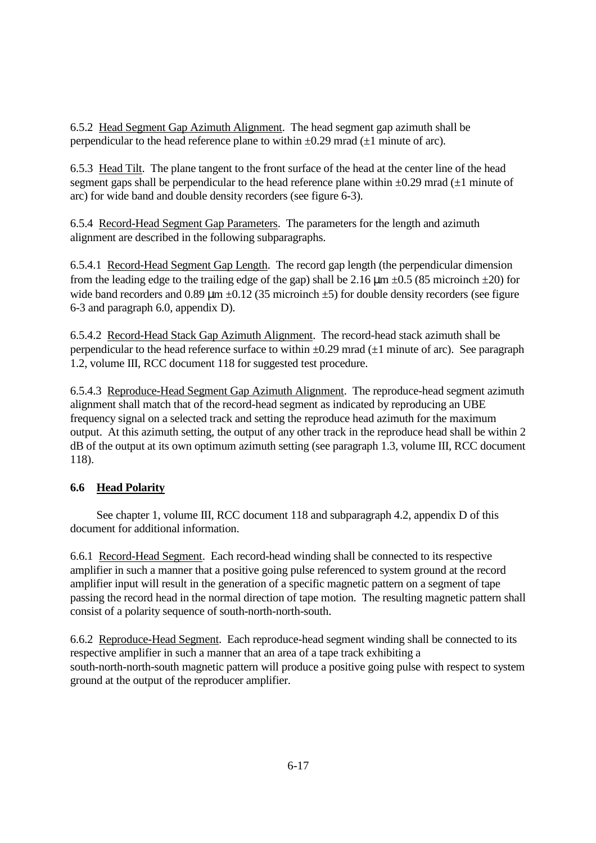6.5.2 Head Segment Gap Azimuth Alignment. The head segment gap azimuth shall be perpendicular to the head reference plane to within  $\pm 0.29$  mrad ( $\pm 1$  minute of arc).

6.5.3 Head Tilt. The plane tangent to the front surface of the head at the center line of the head segment gaps shall be perpendicular to the head reference plane within  $\pm 0.29$  mrad ( $\pm 1$  minute of arc) for wide band and double density recorders (see figure 6-3).

6.5.4 Record-Head Segment Gap Parameters. The parameters for the length and azimuth alignment are described in the following subparagraphs.

6.5.4.1 Record-Head Segment Gap Length. The record gap length (the perpendicular dimension from the leading edge to the trailing edge of the gap) shall be 2.16  $\mu$ m  $\pm$ 0.5 (85 microinch  $\pm$ 20) for wide band recorders and 0.89  $\mu$ m  $\pm$ 0.12 (35 microinch  $\pm$ 5) for double density recorders (see figure 6-3 and paragraph 6.0, appendix D).

6.5.4.2 Record-Head Stack Gap Azimuth Alignment. The record-head stack azimuth shall be perpendicular to the head reference surface to within  $\pm 0.29$  mrad ( $\pm 1$  minute of arc). See paragraph 1.2, volume III, RCC document 118 for suggested test procedure.

6.5.4.3 Reproduce-Head Segment Gap Azimuth Alignment. The reproduce-head segment azimuth alignment shall match that of the record-head segment as indicated by reproducing an UBE frequency signal on a selected track and setting the reproduce head azimuth for the maximum output. At this azimuth setting, the output of any other track in the reproduce head shall be within 2 dB of the output at its own optimum azimuth setting (see paragraph 1.3, volume III, RCC document 118).

# **6.6 Head Polarity**

 See chapter 1, volume III, RCC document 118 and subparagraph 4.2, appendix D of this document for additional information.

6.6.1 Record-Head Segment. Each record-head winding shall be connected to its respective amplifier in such a manner that a positive going pulse referenced to system ground at the record amplifier input will result in the generation of a specific magnetic pattern on a segment of tape passing the record head in the normal direction of tape motion. The resulting magnetic pattern shall consist of a polarity sequence of south-north-north-south.

6.6.2 Reproduce-Head Segment. Each reproduce-head segment winding shall be connected to its respective amplifier in such a manner that an area of a tape track exhibiting a south-north-north-south magnetic pattern will produce a positive going pulse with respect to system ground at the output of the reproducer amplifier.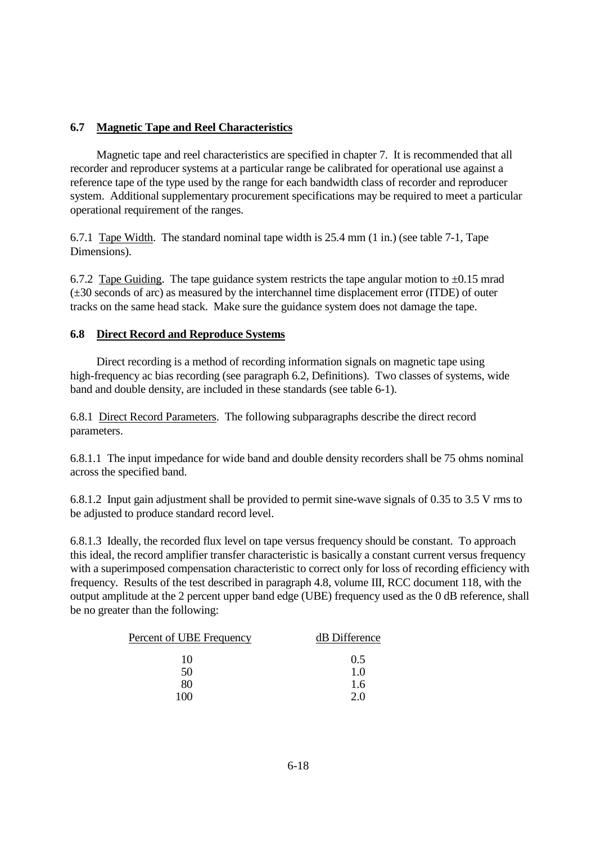# **6.7 Magnetic Tape and Reel Characteristics**

 Magnetic tape and reel characteristics are specified in chapter 7. It is recommended that all recorder and reproducer systems at a particular range be calibrated for operational use against a reference tape of the type used by the range for each bandwidth class of recorder and reproducer system. Additional supplementary procurement specifications may be required to meet a particular operational requirement of the ranges.

6.7.1 Tape Width. The standard nominal tape width is 25.4 mm (1 in.) (see table 7-1, Tape Dimensions).

6.7.2 Tape Guiding. The tape guidance system restricts the tape angular motion to  $\pm 0.15$  mrad (±30 seconds of arc) as measured by the interchannel time displacement error (ITDE) of outer tracks on the same head stack. Make sure the guidance system does not damage the tape.

#### **6.8 Direct Record and Reproduce Systems**

 Direct recording is a method of recording information signals on magnetic tape using high-frequency ac bias recording (see paragraph 6.2, Definitions). Two classes of systems, wide band and double density, are included in these standards (see table 6-1).

6.8.1 Direct Record Parameters. The following subparagraphs describe the direct record parameters.

6.8.1.1 The input impedance for wide band and double density recorders shall be 75 ohms nominal across the specified band.

6.8.1.2 Input gain adjustment shall be provided to permit sine-wave signals of 0.35 to 3.5 V rms to be adjusted to produce standard record level.

6.8.1.3 Ideally, the recorded flux level on tape versus frequency should be constant. To approach this ideal, the record amplifier transfer characteristic is basically a constant current versus frequency with a superimposed compensation characteristic to correct only for loss of recording efficiency with frequency. Results of the test described in paragraph 4.8, volume III, RCC document 118, with the output amplitude at the 2 percent upper band edge (UBE) frequency used as the 0 dB reference, shall be no greater than the following:

| Percent of UBE Frequency | dB Difference |
|--------------------------|---------------|
| 10                       | 0.5           |
| 50                       | 1.0           |
| 80                       | 1.6           |
| 100                      | 20            |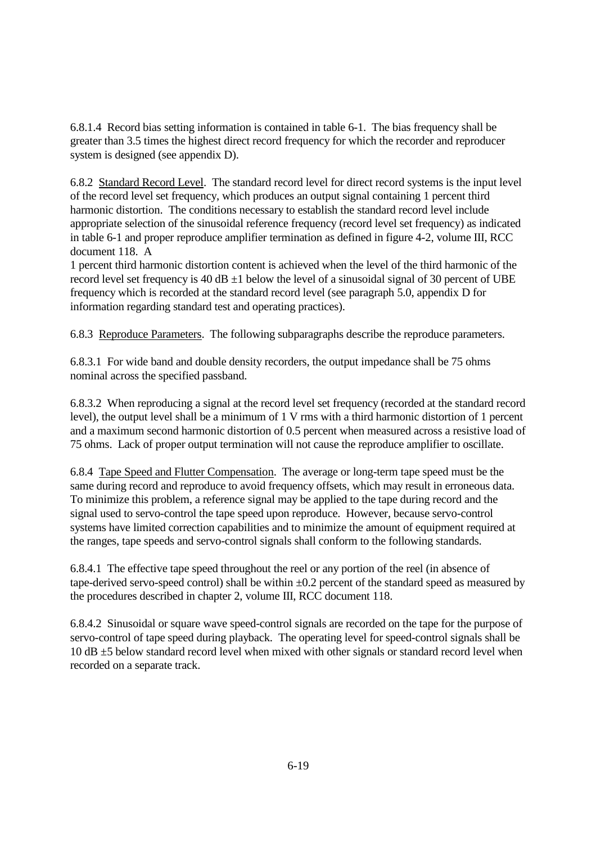6.8.1.4 Record bias setting information is contained in table 6-1. The bias frequency shall be greater than 3.5 times the highest direct record frequency for which the recorder and reproducer system is designed (see appendix D).

6.8.2 Standard Record Level. The standard record level for direct record systems is the input level of the record level set frequency, which produces an output signal containing 1 percent third harmonic distortion. The conditions necessary to establish the standard record level include appropriate selection of the sinusoidal reference frequency (record level set frequency) as indicated in table 6-1 and proper reproduce amplifier termination as defined in figure 4-2, volume III, RCC document 118. A

1 percent third harmonic distortion content is achieved when the level of the third harmonic of the record level set frequency is 40 dB  $\pm$ 1 below the level of a sinusoidal signal of 30 percent of UBE frequency which is recorded at the standard record level (see paragraph 5.0, appendix D for information regarding standard test and operating practices).

6.8.3 Reproduce Parameters. The following subparagraphs describe the reproduce parameters.

6.8.3.1 For wide band and double density recorders, the output impedance shall be 75 ohms nominal across the specified passband.

6.8.3.2 When reproducing a signal at the record level set frequency (recorded at the standard record level), the output level shall be a minimum of 1 V rms with a third harmonic distortion of 1 percent and a maximum second harmonic distortion of 0.5 percent when measured across a resistive load of 75 ohms. Lack of proper output termination will not cause the reproduce amplifier to oscillate.

6.8.4 Tape Speed and Flutter Compensation. The average or long-term tape speed must be the same during record and reproduce to avoid frequency offsets, which may result in erroneous data. To minimize this problem, a reference signal may be applied to the tape during record and the signal used to servo-control the tape speed upon reproduce. However, because servo-control systems have limited correction capabilities and to minimize the amount of equipment required at the ranges, tape speeds and servo-control signals shall conform to the following standards.

6.8.4.1 The effective tape speed throughout the reel or any portion of the reel (in absence of tape-derived servo-speed control) shall be within ±0.2 percent of the standard speed as measured by the procedures described in chapter 2, volume III, RCC document 118.

6.8.4.2 Sinusoidal or square wave speed-control signals are recorded on the tape for the purpose of servo-control of tape speed during playback. The operating level for speed-control signals shall be 10 dB ±5 below standard record level when mixed with other signals or standard record level when recorded on a separate track.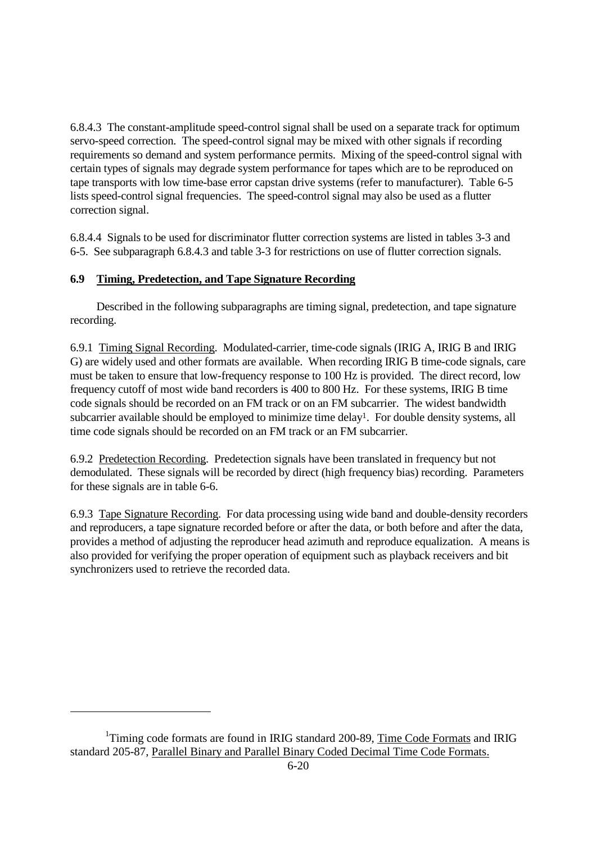6.8.4.3 The constant-amplitude speed-control signal shall be used on a separate track for optimum servo-speed correction. The speed-control signal may be mixed with other signals if recording requirements so demand and system performance permits. Mixing of the speed-control signal with certain types of signals may degrade system performance for tapes which are to be reproduced on tape transports with low time-base error capstan drive systems (refer to manufacturer). Table 6-5 lists speed-control signal frequencies. The speed-control signal may also be used as a flutter correction signal.

6.8.4.4 Signals to be used for discriminator flutter correction systems are listed in tables 3-3 and 6-5. See subparagraph 6.8.4.3 and table 3-3 for restrictions on use of flutter correction signals.

# **6.9 Timing, Predetection, and Tape Signature Recording**

-

 Described in the following subparagraphs are timing signal, predetection, and tape signature recording.

6.9.1 Timing Signal Recording. Modulated-carrier, time-code signals (IRIG A, IRIG B and IRIG G) are widely used and other formats are available. When recording IRIG B time-code signals, care must be taken to ensure that low-frequency response to 100 Hz is provided. The direct record, low frequency cutoff of most wide band recorders is 400 to 800 Hz. For these systems, IRIG B time code signals should be recorded on an FM track or on an FM subcarrier. The widest bandwidth subcarrier available should be employed to minimize time delay<sup>1</sup>. For double density systems, all time code signals should be recorded on an FM track or an FM subcarrier.

6.9.2 Predetection Recording. Predetection signals have been translated in frequency but not demodulated. These signals will be recorded by direct (high frequency bias) recording. Parameters for these signals are in table 6-6.

6.9.3 Tape Signature Recording. For data processing using wide band and double-density recorders and reproducers, a tape signature recorded before or after the data, or both before and after the data, provides a method of adjusting the reproducer head azimuth and reproduce equalization. A means is also provided for verifying the proper operation of equipment such as playback receivers and bit synchronizers used to retrieve the recorded data.

<sup>&</sup>lt;sup>1</sup>Timing code formats are found in IRIG standard 200-89, Time Code Formats and IRIG standard 205-87, Parallel Binary and Parallel Binary Coded Decimal Time Code Formats.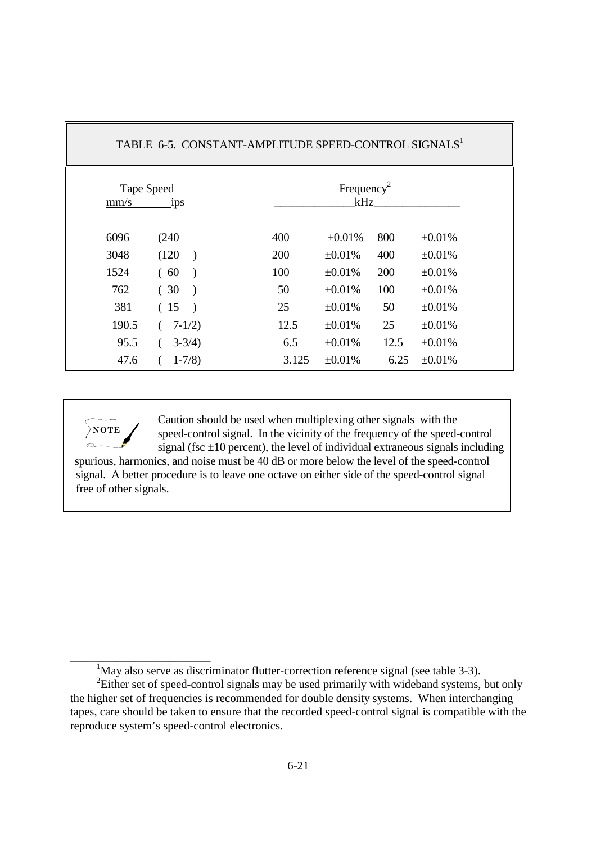|                    |                       | TABLE 6-5. CONSTANT-AMPLITUDE SPEED-CONTROL SIGNALS <sup>1</sup> |                               |      |              |
|--------------------|-----------------------|------------------------------------------------------------------|-------------------------------|------|--------------|
| Tape Speed<br>mm/s | ips                   |                                                                  | Frequency <sup>2</sup><br>kHz |      |              |
| 6096               | (240)                 | 400                                                              | $\pm 0.01\%$                  | 800  | $\pm 0.01\%$ |
| 3048               | (120)                 | <b>200</b>                                                       | $\pm 0.01\%$                  | 400  | $\pm 0.01\%$ |
| 1524               | (60)                  | 100                                                              | $\pm 0.01\%$                  | 200  | $\pm 0.01\%$ |
| 762                | (30)<br>$\lambda$     | 50                                                               | $\pm 0.01\%$                  | 100  | $\pm 0.01\%$ |
| 381                | (15)<br>$\rightarrow$ | 25                                                               | $\pm 0.01\%$                  | 50   | $\pm 0.01\%$ |
| 190.5              | $7-1/2)$              | 12.5                                                             | $\pm 0.01\%$                  | 25   | $\pm 0.01\%$ |
| 95.5               | $3-3/4$ )             | 6.5                                                              | $\pm 0.01\%$                  | 12.5 | $\pm 0.01\%$ |
| 47.6               | $1 - 7/8$             | 3.125                                                            | $\pm 0.01\%$                  | 6.25 | $\pm 0.01\%$ |

 Caution should be used when multiplexing other signals with the speed-control signal. In the vicinity of the frequency of the speed-control signal (fsc  $\pm 10$  percent), the level of individual extraneous signals including spurious, harmonics, and noise must be 40 dB or more below the level of the speed-control signal. A better procedure is to leave one octave on either side of the speed-control signal free of other signals.

 $\frac{1}{2}$  ,  $\frac{1}{2}$  ,  $\frac{1}{2}$  ,  $\frac{1}{2}$  ,  $\frac{1}{2}$  ,  $\frac{1}{2}$  ,  $\frac{1}{2}$  ,  $\frac{1}{2}$  ,  $\frac{1}{2}$  ,  $\frac{1}{2}$  ,  $\frac{1}{2}$  ,  $\frac{1}{2}$  ,  $\frac{1}{2}$  ,  $\frac{1}{2}$  ,  $\frac{1}{2}$  ,  $\frac{1}{2}$  ,  $\frac{1}{2}$  ,  $\frac{1}{2}$  ,  $\frac{1$ 

**NOTE**

 $\mathsf T$ 

 $1$ May also serve as discriminator flutter-correction reference signal (see table 3-3).

 $2$ Either set of speed-control signals may be used primarily with wideband systems, but only the higher set of frequencies is recommended for double density systems. When interchanging tapes, care should be taken to ensure that the recorded speed-control signal is compatible with the reproduce system's speed-control electronics.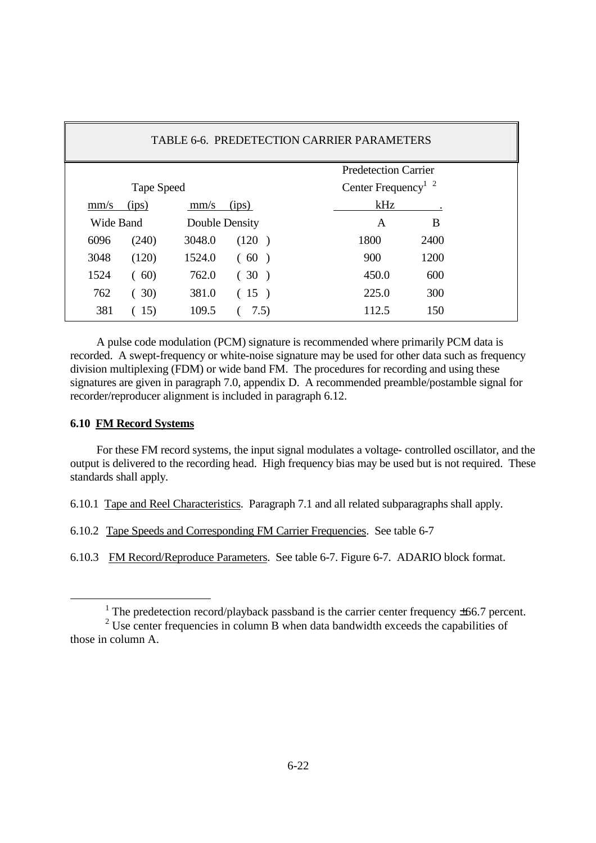| TABLE 6-6. PREDETECTION CARRIER PARAMETERS |            |                |                        |                                             |      |  |  |
|--------------------------------------------|------------|----------------|------------------------|---------------------------------------------|------|--|--|
|                                            |            |                |                        | <b>Predetection Carrier</b>                 |      |  |  |
|                                            | Tape Speed |                |                        | Center Frequency <sup><math>12</math></sup> |      |  |  |
| mm/s                                       | (ips)      | mm/s           | (ips)                  | kHz                                         |      |  |  |
| <b>Wide Band</b>                           |            | Double Density |                        | A                                           | B    |  |  |
| 6096                                       | (240)      | 3048.0         | (120)<br>$\rightarrow$ | 1800                                        | 2400 |  |  |
| 3048                                       | (120)      | 1524.0         | (60)                   | 900                                         | 1200 |  |  |
| 1524                                       | (60)       | 762.0          | (30)<br>$\rightarrow$  | 450.0                                       | 600  |  |  |
| 762                                        | (30)       | 381.0          | (15)                   | 225.0                                       | 300  |  |  |
| 381                                        | (15)       | 109.5          | 7.5)                   | 112.5                                       | 150  |  |  |

 A pulse code modulation (PCM) signature is recommended where primarily PCM data is recorded. A swept-frequency or white-noise signature may be used for other data such as frequency division multiplexing (FDM) or wide band FM. The procedures for recording and using these signatures are given in paragraph 7.0, appendix D. A recommended preamble/postamble signal for recorder/reproducer alignment is included in paragraph 6.12.

## **6.10 FM Record Systems**

1

 For these FM record systems, the input signal modulates a voltage- controlled oscillator, and the output is delivered to the recording head. High frequency bias may be used but is not required. These standards shall apply.

6.10.1 Tape and Reel Characteristics. Paragraph 7.1 and all related subparagraphs shall apply.

6.10.2 Tape Speeds and Corresponding FM Carrier Frequencies. See table 6-7

6.10.3 FM Record/Reproduce Parameters. See table 6-7. Figure 6-7. ADARIO block format.

<sup>&</sup>lt;sup>1</sup> The predetection record/playback passband is the carrier center frequency  $\pm 66.7$  percent.

 $2^2$  Use center frequencies in column B when data bandwidth exceeds the capabilities of those in column A.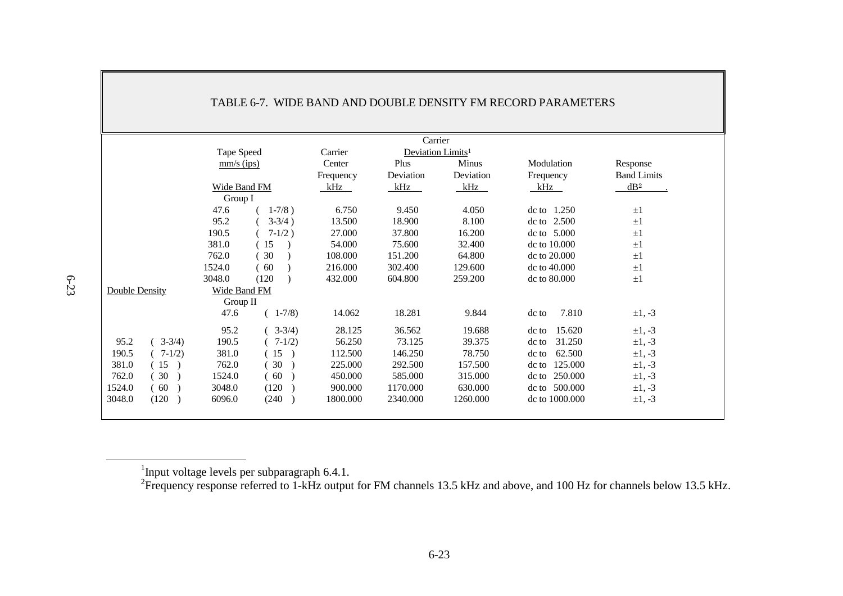|                |                     |                     |                |           | Carrier                       |              |                   |                    |
|----------------|---------------------|---------------------|----------------|-----------|-------------------------------|--------------|-------------------|--------------------|
|                |                     | Tape Speed          |                | Carrier   | Deviation Limits <sup>1</sup> |              |                   |                    |
|                |                     | $\text{mm/s}$ (ips) |                | Center    | Plus                          | <b>Minus</b> | Modulation        | Response           |
|                |                     |                     |                | Frequency | Deviation                     | Deviation    | Frequency         | <b>Band Limits</b> |
|                |                     | <b>Wide Band FM</b> |                | kHz       | kHz                           | kHz          | kHz               | dB <sup>2</sup>    |
|                |                     | Group I             |                |           |                               |              |                   |                    |
|                |                     | 47.6                | $1-7/8$ )      | 6.750     | 9.450                         | 4.050        | dc to $1.250$     | $\pm 1$            |
|                |                     | 95.2                | $3-3/4$ )      | 13.500    | 18.900                        | 8.100        | $dc$ to $2.500$   | $\pm 1$            |
|                |                     | 190.5               | $7-1/2)$       | 27.000    | 37.800                        | 16.200       | dc to $5.000$     | $\pm 1$            |
|                |                     | 381.0               | (15            | 54.000    | 75.600                        | 32.400       | dc to 10.000      | $\pm 1$            |
|                |                     | 762.0               | 30             | 108.000   | 151.200                       | 64.800       | de to $20.000$    | $\pm 1$            |
|                |                     | 1524.0              | (60)           | 216.000   | 302.400                       | 129.600      | dc to 40.000      | $\pm 1$            |
|                |                     | 3048.0              | (120)          | 432.000   | 604.800                       | 259.200      | $\,$ dc to 80.000 | $\pm 1$            |
| Double Density |                     | Wide Band FM        |                |           |                               |              |                   |                    |
|                |                     | Group $II$          |                |           |                               |              |                   |                    |
|                |                     | 47.6                | $(1-7/8)$      | 14.062    | 18.281                        | 9.844        | 7.810<br>dc to    | $\pm 1, -3$        |
|                |                     | 95.2                | $(3-3/4)$      | 28.125    | 36.562                        | 19.688       | 15.620<br>dc to   | $\pm 1, -3$        |
| 95.2           | $3-3/4$ )           | 190.5               | $7-1/2$        | 56.250    | 73.125                        | 39.375       | 31.250<br>dc to   | $±1, -3$           |
| 190.5          | $7-1/2$             | 381.0               | $\frac{15}{2}$ | 112.500   | 146.250                       | 78.750       | 62.500<br>dc to   | $\pm 1, -3$        |
| 381.0          | 15<br>$\rightarrow$ | 762.0               | $30^{\circ}$   | 225.000   | 292.500                       | 157.500      | 125.000<br>dc to  | $\pm 1, -3$        |
| 762.0          | 30                  | 1524.0              | (60)           | 450.000   | 585.000                       | 315.000      | 250.000<br>dc to  | $\pm 1, -3$        |
| 1524.0         | 60                  | 3048.0              | (120)          | 900.000   | 1170.000                      | 630.000      | dc to 500.000     | $\pm 1, -3$        |
| 3048.0         | (120)               | 6096.0              | (240)          | 1800.000  | 2340.000                      | 1260.000     | dc to 1000.000    | $\pm 1, -3$        |
|                |                     |                     |                |           |                               |              |                   |                    |

# TABLE 6-7. WIDE BAND AND DOUBLE DENSITY FM RECORD PARAMETERS

 $^1$ Input voltage levels per subparagraph 6.4.1.<br><sup>2</sup>Frequency response referred to 1-kHz output for FM channels 13.5 kHz and above, and 100 Hz for channels below 13.5 kHz.

6-23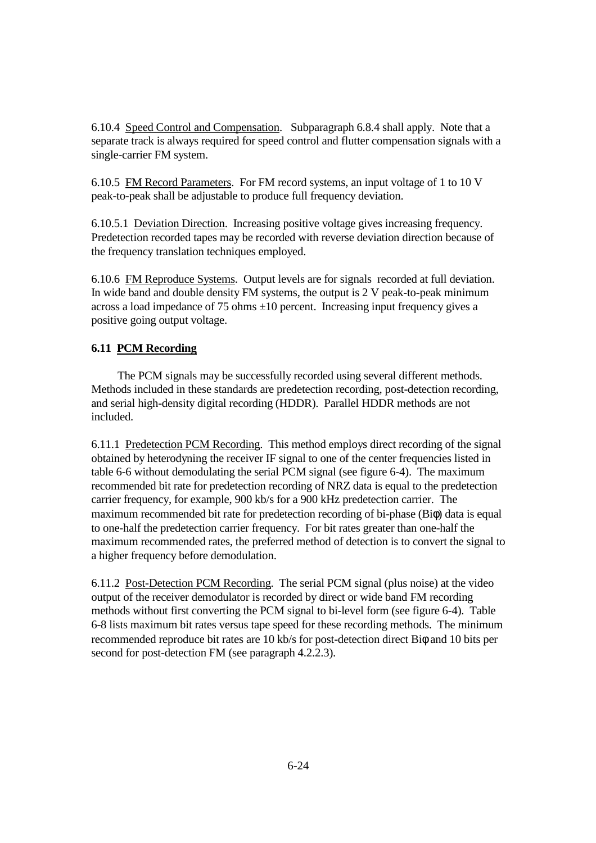6.10.4 Speed Control and Compensation. Subparagraph 6.8.4 shall apply. Note that a separate track is always required for speed control and flutter compensation signals with a single-carrier FM system.

6.10.5 FM Record Parameters. For FM record systems, an input voltage of 1 to 10 V peak-to-peak shall be adjustable to produce full frequency deviation.

6.10.5.1 Deviation Direction. Increasing positive voltage gives increasing frequency. Predetection recorded tapes may be recorded with reverse deviation direction because of the frequency translation techniques employed.

6.10.6 FM Reproduce Systems. Output levels are for signals recorded at full deviation. In wide band and double density FM systems, the output is  $2 \text{ V}$  peak-to-peak minimum across a load impedance of 75 ohms  $\pm 10$  percent. Increasing input frequency gives a positive going output voltage.

## **6.11 PCM Recording**

 The PCM signals may be successfully recorded using several different methods. Methods included in these standards are predetection recording, post-detection recording, and serial high-density digital recording (HDDR). Parallel HDDR methods are not included.

6.11.1 Predetection PCM Recording. This method employs direct recording of the signal obtained by heterodyning the receiver IF signal to one of the center frequencies listed in table 6-6 without demodulating the serial PCM signal (see figure 6-4). The maximum recommended bit rate for predetection recording of NRZ data is equal to the predetection carrier frequency, for example, 900 kb/s for a 900 kHz predetection carrier. The maximum recommended bit rate for predetection recording of bi-phase (Biφ) data is equal to one-half the predetection carrier frequency. For bit rates greater than one-half the maximum recommended rates, the preferred method of detection is to convert the signal to a higher frequency before demodulation.

6.11.2 Post-Detection PCM Recording. The serial PCM signal (plus noise) at the video output of the receiver demodulator is recorded by direct or wide band FM recording methods without first converting the PCM signal to bi-level form (see figure 6-4). Table 6-8 lists maximum bit rates versus tape speed for these recording methods. The minimum recommended reproduce bit rates are 10 kb/s for post-detection direct Biφ and 10 bits per second for post-detection FM (see paragraph 4.2.2.3).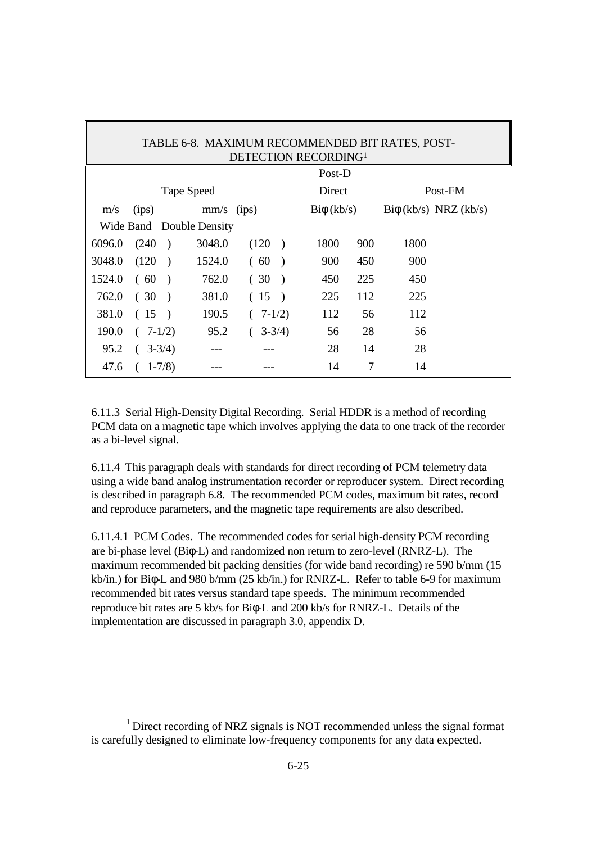|        | TABLE 6-8. MAXIMUM RECOMMENDED BIT RATES, POST-<br>DETECTION RECORDING <sup>1</sup> |              |                           |                            |     |                            |  |  |
|--------|-------------------------------------------------------------------------------------|--------------|---------------------------|----------------------------|-----|----------------------------|--|--|
|        |                                                                                     |              |                           | Post-D                     |     |                            |  |  |
|        | Tape Speed                                                                          |              |                           | Direct                     |     | Post-FM                    |  |  |
| m/s    | (ips)                                                                               | $mm/s$ (ips) |                           | $\overline{Bi\phi}$ (kb/s) |     | $Bi\phi$ (kb/s) NRZ (kb/s) |  |  |
|        | Wide Band Double Density                                                            |              |                           |                            |     |                            |  |  |
| 6096.0 | (240)<br>$\rightarrow$                                                              | 3048.0       | (120)                     | 1800                       | 900 | 1800                       |  |  |
| 3048.0 | (120)<br>$\rightarrow$                                                              | 1524.0       | 60<br>€.<br>$\rightarrow$ | 900                        | 450 | 900                        |  |  |
| 1524.0 | (60)<br>$\rightarrow$                                                               | 762.0        | (30)<br>$\rightarrow$     | 450                        | 225 | 450                        |  |  |
| 762.0  | (30)                                                                                | 381.0        | (15)<br>$\rightarrow$     | 225                        | 112 | 225                        |  |  |
| 381.0  | (15<br>$\rightarrow$                                                                | 190.5        | $7-1/2$<br>(              | 112                        | 56  | 112                        |  |  |
| 190.0  | $(7-1/2)$                                                                           | 95.2         | $3-3/4$ )                 | 56                         | 28  | 56                         |  |  |
| 95.2   | $3-3/4$ )<br>(                                                                      |              |                           | 28                         | 14  | 28                         |  |  |
| 47.6   | $1 - 7/8$                                                                           |              |                           | 14                         | 7   | 14                         |  |  |

6.11.3 Serial High-Density Digital Recording. Serial HDDR is a method of recording PCM data on a magnetic tape which involves applying the data to one track of the recorder as a bi-level signal.

6.11.4 This paragraph deals with standards for direct recording of PCM telemetry data using a wide band analog instrumentation recorder or reproducer system. Direct recording is described in paragraph 6.8. The recommended PCM codes, maximum bit rates, record and reproduce parameters, and the magnetic tape requirements are also described.

6.11.4.1 PCM Codes. The recommended codes for serial high-density PCM recording are bi-phase level (Biφ-L) and randomized non return to zero-level (RNRZ-L). The maximum recommended bit packing densities (for wide band recording) re 590 b/mm (15 kb/in.) for Biφ-L and 980 b/mm (25 kb/in.) for RNRZ-L. Refer to table 6-9 for maximum recommended bit rates versus standard tape speeds. The minimum recommended reproduce bit rates are 5 kb/s for Biφ-L and 200 kb/s for RNRZ-L. Details of the implementation are discussed in paragraph 3.0, appendix D.

-

<sup>&</sup>lt;sup>1</sup> Direct recording of NRZ signals is NOT recommended unless the signal format is carefully designed to eliminate low-frequency components for any data expected.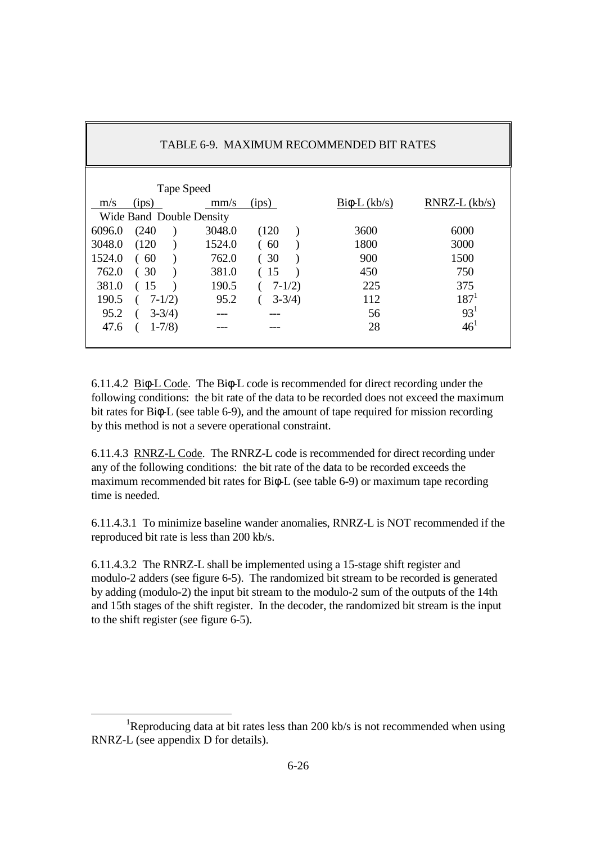| TABLE 6-9. MAXIMUM RECOMMENDED BIT RATES |                          |        |             |                    |                 |  |
|------------------------------------------|--------------------------|--------|-------------|--------------------|-----------------|--|
|                                          | Tape Speed               |        |             |                    |                 |  |
| m/s                                      | (ips)                    | mm/s   | (ips)       | $Bi\phi$ -L (kb/s) | $RNRZ-L$ (kb/s) |  |
|                                          | Wide Band Double Density |        |             |                    |                 |  |
| 6096.0                                   | (240)                    | 3048.0 | (120)       | 3600               | 6000            |  |
| 3048.0                                   | (120)                    | 1524.0 | (60)        | 1800               | 3000            |  |
| 1524.0                                   | (60)                     | 762.0  | (30)        | 900                | 1500            |  |
| 762.0                                    | (30)                     | 381.0  | (15         | 450                | 750             |  |
| 381.0                                    | (15                      | 190.5  | $7-1/2)$    | 225                | 375             |  |
| 190.5                                    | $7-1/2$                  | 95.2   | $3 - 3/4$ ) | 112                | $187^1$         |  |
| 95.2                                     | $3 - 3/4$ )              |        |             | 56                 | 93 <sup>1</sup> |  |
| 47.6                                     | $1 - 7/8$                |        |             | 28                 | 46 <sup>1</sup> |  |
|                                          |                          |        |             |                    |                 |  |

٦

6.11.4.2 Biφ-L Code. The Biφ-L code is recommended for direct recording under the following conditions: the bit rate of the data to be recorded does not exceed the maximum bit rates for Biφ-L (see table 6-9), and the amount of tape required for mission recording by this method is not a severe operational constraint.

6.11.4.3 RNRZ-L Code. The RNRZ-L code is recommended for direct recording under any of the following conditions: the bit rate of the data to be recorded exceeds the maximum recommended bit rates for Biφ-L (see table 6-9) or maximum tape recording time is needed.

6.11.4.3.1 To minimize baseline wander anomalies, RNRZ-L is NOT recommended if the reproduced bit rate is less than 200 kb/s.

6.11.4.3.2 The RNRZ-L shall be implemented using a 15-stage shift register and modulo-2 adders (see figure 6-5). The randomized bit stream to be recorded is generated by adding (modulo-2) the input bit stream to the modulo-2 sum of the outputs of the 14th and 15th stages of the shift register. In the decoder, the randomized bit stream is the input to the shift register (see figure 6-5).

-

 $\mathsf T$ 

<sup>&</sup>lt;sup>1</sup>Reproducing data at bit rates less than 200 kb/s is not recommended when using RNRZ-L (see appendix D for details).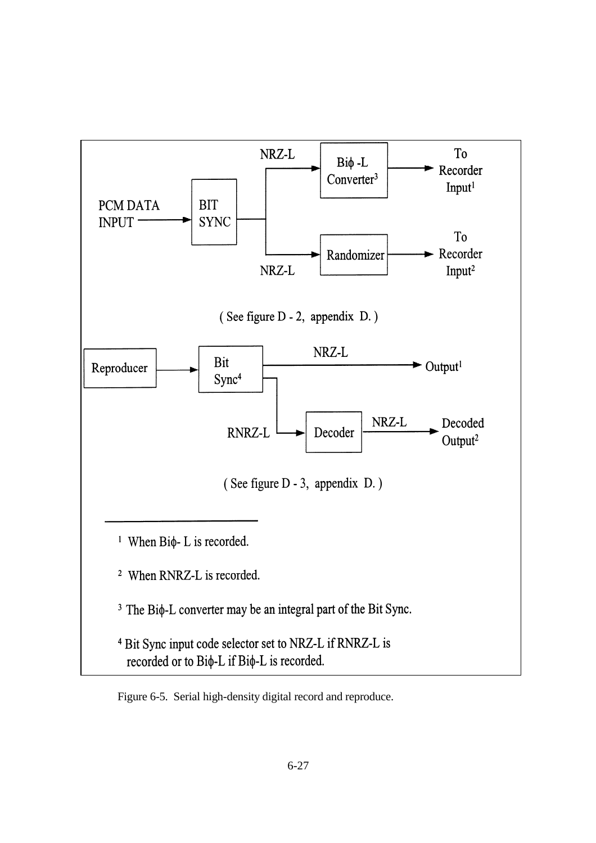

Figure 6-5. Serial high-density digital record and reproduce.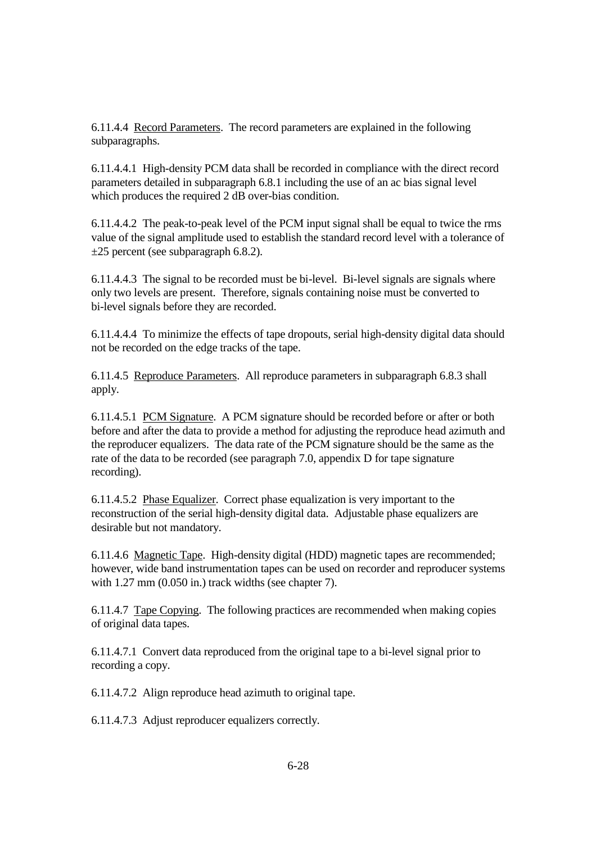6.11.4.4 Record Parameters. The record parameters are explained in the following subparagraphs.

6.11.4.4.1 High-density PCM data shall be recorded in compliance with the direct record parameters detailed in subparagraph 6.8.1 including the use of an ac bias signal level which produces the required 2 dB over-bias condition.

6.11.4.4.2 The peak-to-peak level of the PCM input signal shall be equal to twice the rms value of the signal amplitude used to establish the standard record level with a tolerance of  $\pm 25$  percent (see subparagraph 6.8.2).

6.11.4.4.3 The signal to be recorded must be bi-level. Bi-level signals are signals where only two levels are present. Therefore, signals containing noise must be converted to bi-level signals before they are recorded.

6.11.4.4.4 To minimize the effects of tape dropouts, serial high-density digital data should not be recorded on the edge tracks of the tape.

6.11.4.5 Reproduce Parameters. All reproduce parameters in subparagraph 6.8.3 shall apply.

6.11.4.5.1 PCM Signature. A PCM signature should be recorded before or after or both before and after the data to provide a method for adjusting the reproduce head azimuth and the reproducer equalizers. The data rate of the PCM signature should be the same as the rate of the data to be recorded (see paragraph 7.0, appendix D for tape signature recording).

6.11.4.5.2 Phase Equalizer. Correct phase equalization is very important to the reconstruction of the serial high-density digital data. Adjustable phase equalizers are desirable but not mandatory.

6.11.4.6 Magnetic Tape. High-density digital (HDD) magnetic tapes are recommended; however, wide band instrumentation tapes can be used on recorder and reproducer systems with 1.27 mm (0.050 in.) track widths (see chapter 7).

6.11.4.7 Tape Copying. The following practices are recommended when making copies of original data tapes.

6.11.4.7.1 Convert data reproduced from the original tape to a bi-level signal prior to recording a copy.

6.11.4.7.2 Align reproduce head azimuth to original tape.

6.11.4.7.3 Adjust reproducer equalizers correctly.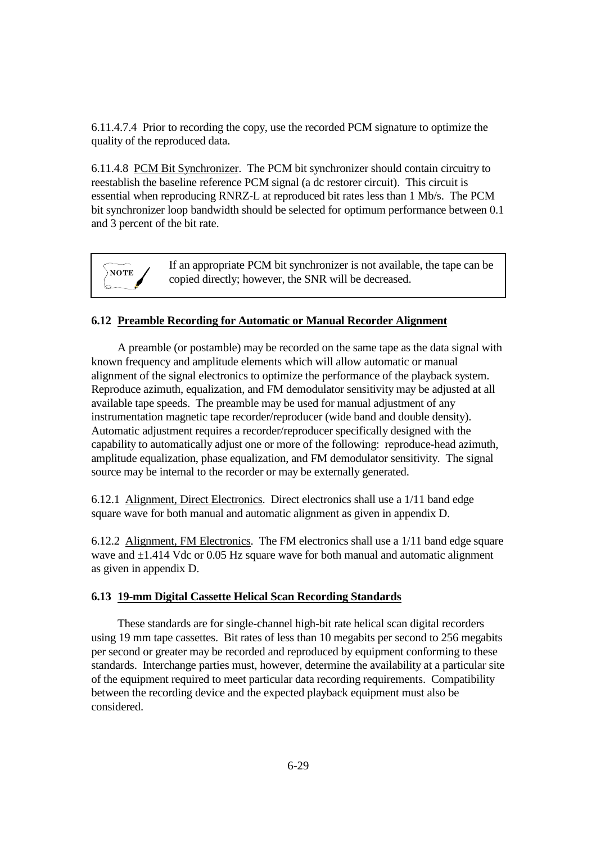6.11.4.7.4 Prior to recording the copy, use the recorded PCM signature to optimize the quality of the reproduced data.

6.11.4.8 PCM Bit Synchronizer. The PCM bit synchronizer should contain circuitry to reestablish the baseline reference PCM signal (a dc restorer circuit). This circuit is essential when reproducing RNRZ-L at reproduced bit rates less than 1 Mb/s. The PCM bit synchronizer loop bandwidth should be selected for optimum performance between 0.1 and 3 percent of the bit rate.

> If an appropriate PCM bit synchronizer is not available, the tape can be copied directly; however, the SNR will be decreased.

#### **6.12 Preamble Recording for Automatic or Manual Recorder Alignment**

**NOTE**

 A preamble (or postamble) may be recorded on the same tape as the data signal with known frequency and amplitude elements which will allow automatic or manual alignment of the signal electronics to optimize the performance of the playback system. Reproduce azimuth, equalization, and FM demodulator sensitivity may be adjusted at all available tape speeds. The preamble may be used for manual adjustment of any instrumentation magnetic tape recorder/reproducer (wide band and double density). Automatic adjustment requires a recorder/reproducer specifically designed with the capability to automatically adjust one or more of the following: reproduce-head azimuth, amplitude equalization, phase equalization, and FM demodulator sensitivity. The signal source may be internal to the recorder or may be externally generated.

6.12.1 Alignment, Direct Electronics. Direct electronics shall use a 1/11 band edge square wave for both manual and automatic alignment as given in appendix D.

6.12.2 Alignment, FM Electronics. The FM electronics shall use a 1/11 band edge square wave and  $\pm$ 1.414 Vdc or 0.05 Hz square wave for both manual and automatic alignment as given in appendix D.

#### **6.13 19-mm Digital Cassette Helical Scan Recording Standards**

 These standards are for single-channel high-bit rate helical scan digital recorders using 19 mm tape cassettes. Bit rates of less than 10 megabits per second to 256 megabits per second or greater may be recorded and reproduced by equipment conforming to these standards. Interchange parties must, however, determine the availability at a particular site of the equipment required to meet particular data recording requirements. Compatibility between the recording device and the expected playback equipment must also be considered.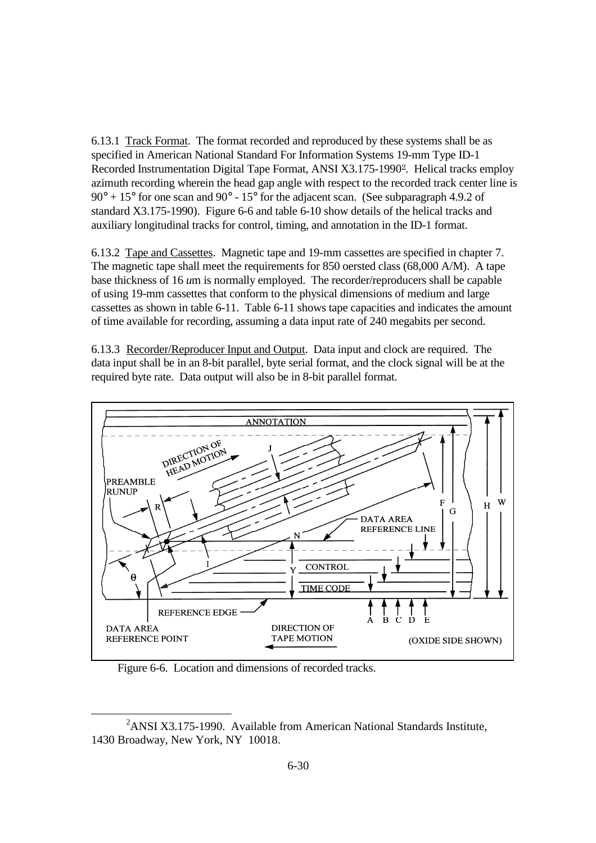6.13.1 Track Format. The format recorded and reproduced by these systems shall be as specified in American National Standard For Information Systems 19-mm Type ID-1 Recorded Instrumentation Digital Tape Format, ANSI X3.175-1990<sup>2</sup>. Helical tracks employ azimuth recording wherein the head gap angle with respect to the recorded track center line is  $90^\circ + 15^\circ$  for one scan and  $90^\circ - 15^\circ$  for the adjacent scan. (See subparagraph 4.9.2 of standard X3.175-1990). Figure 6-6 and table 6-10 show details of the helical tracks and auxiliary longitudinal tracks for control, timing, and annotation in the ID-1 format.

6.13.2 Tape and Cassettes. Magnetic tape and 19-mm cassettes are specified in chapter 7. The magnetic tape shall meet the requirements for 850 oersted class (68,000 A/M). A tape base thickness of 16 *u*m is normally employed. The recorder/reproducers shall be capable of using 19-mm cassettes that conform to the physical dimensions of medium and large cassettes as shown in table 6-11. Table 6-11 shows tape capacities and indicates the amount of time available for recording, assuming a data input rate of 240 megabits per second.

6.13.3 Recorder/Reproducer Input and Output. Data input and clock are required. The data input shall be in an 8-bit parallel, byte serial format, and the clock signal will be at the required byte rate. Data output will also be in 8-bit parallel format.



Figure 6-6. Location and dimensions of recorded tracks.

-

 $2$ ANSI X3.175-1990. Available from American National Standards Institute, 1430 Broadway, New York, NY 10018.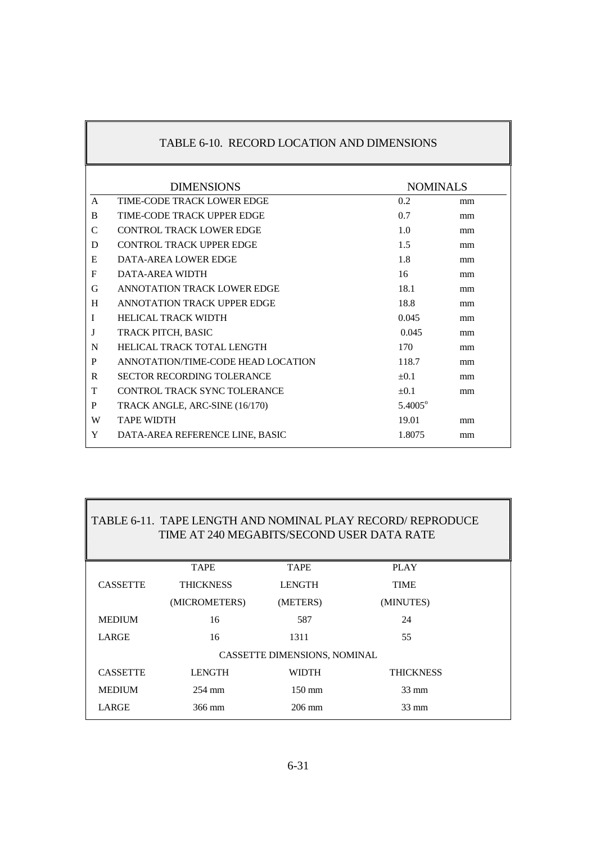|               | TABLE 6-10. RECORD LOCATION AND DIMENSIONS |                  |    |
|---------------|--------------------------------------------|------------------|----|
|               | <b>DIMENSIONS</b>                          | <b>NOMINALS</b>  |    |
| $\mathsf{A}$  | TIME-CODE TRACK LOWER EDGE                 | 0.2              | mm |
| B             | TIME-CODE TRACK UPPER EDGE                 | 0.7              | mm |
| $\mathcal{C}$ | <b>CONTROL TRACK LOWER EDGE</b>            | 1.0              | mm |
| D             | CONTROL TRACK UPPER EDGE                   | 1.5              | mm |
| E             | DATA-AREA LOWER EDGE                       | 1.8              | mm |
| $_{\rm F}$    | DATA-AREA WIDTH                            | 16               | mm |
| G             | ANNOTATION TRACK LOWER EDGE                | 18.1             | mm |
| H             | ANNOTATION TRACK UPPER EDGE                | 18.8             | mm |
| $\mathbf I$   | <b>HELICAL TRACK WIDTH</b>                 | 0.045            | mm |
| J             | TRACK PITCH, BASIC                         | 0.045            | mm |
| N             | HELICAL TRACK TOTAL LENGTH                 | 170              | mm |
| P             | ANNOTATION/TIME-CODE HEAD LOCATION         | 118.7            | mm |
| R             | <b>SECTOR RECORDING TOLERANCE</b>          | $+0.1$           | mm |
| T             | CONTROL TRACK SYNC TOLERANCE               | $+0.1$           | mm |
| P             | TRACK ANGLE, ARC-SINE (16/170)             | $5.4005^{\circ}$ |    |
| W             | <b>TAPE WIDTH</b>                          | 19.01            | mm |
| Y             | DATA-AREA REFERENCE LINE, BASIC            | 1.8075           | mm |

 $\mathbf{r}$ 

# TABLE 6-11. TAPE LENGTH AND NOMINAL PLAY RECORD/ REPRODUCE TIME AT 240 MEGABITS/SECOND USER DATA RATE

|                 | <b>TAPE</b>      | <b>TAPE</b>                  | <b>PLAY</b>      |  |
|-----------------|------------------|------------------------------|------------------|--|
| <b>CASSETTE</b> | <b>THICKNESS</b> | <b>LENGTH</b>                | <b>TIME</b>      |  |
|                 | (MICROMETERS)    | (METERS)                     | (MINUTES)        |  |
| <b>MEDIUM</b>   | 16               | 587                          | 24               |  |
| LARGE           | 16               | 1311                         | 55               |  |
|                 |                  | CASSETTE DIMENSIONS, NOMINAL |                  |  |
| <b>CASSETTE</b> | <b>LENGTH</b>    | WIDTH                        | <b>THICKNESS</b> |  |
| <b>MEDIUM</b>   | $254 \text{ mm}$ | $150 \text{ mm}$             | $33 \text{ mm}$  |  |
| LARGE           | 366 mm           | $206 \text{ mm}$             | $33 \text{ mm}$  |  |
|                 |                  |                              |                  |  |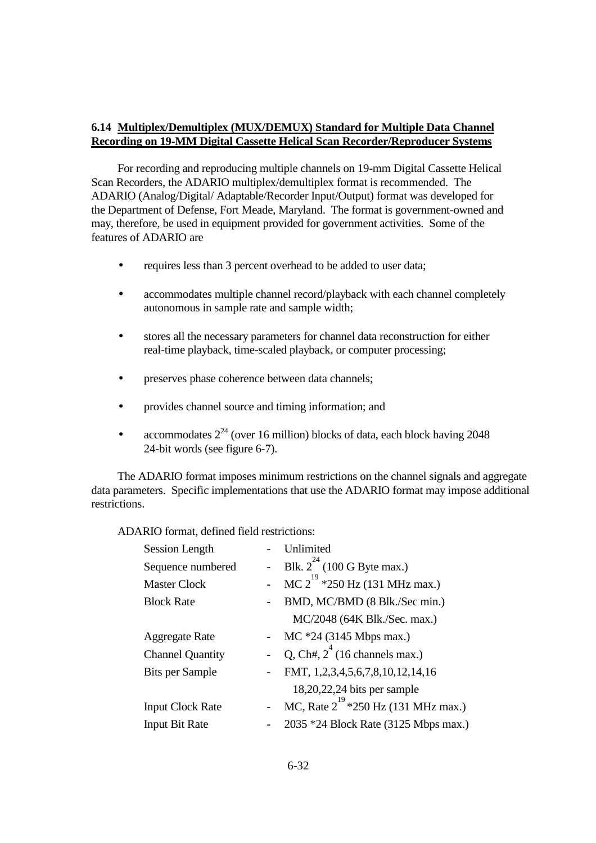## **6.14 Multiplex/Demultiplex (MUX/DEMUX) Standard for Multiple Data Channel Recording on 19-MM Digital Cassette Helical Scan Recorder/Reproducer Systems**

 For recording and reproducing multiple channels on 19-mm Digital Cassette Helical Scan Recorders, the ADARIO multiplex/demultiplex format is recommended. The ADARIO (Analog/Digital/ Adaptable/Recorder Input/Output) format was developed for the Department of Defense, Fort Meade, Maryland. The format is government-owned and may, therefore, be used in equipment provided for government activities. Some of the features of ADARIO are

- requires less than 3 percent overhead to be added to user data;
- accommodates multiple channel record/playback with each channel completely autonomous in sample rate and sample width;
- stores all the necessary parameters for channel data reconstruction for either real-time playback, time-scaled playback, or computer processing;
- preserves phase coherence between data channels;
- provides channel source and timing information; and
- accommodates  $2^{24}$  (over 16 million) blocks of data, each block having 2048 24-bit words (see figure 6-7).

 The ADARIO format imposes minimum restrictions on the channel signals and aggregate data parameters. Specific implementations that use the ADARIO format may impose additional restrictions.

ADARIO format, defined field restrictions:

| <b>Session Length</b>   | Unlimited                                |
|-------------------------|------------------------------------------|
| Sequence numbered       | - Blk. $2^{24}$ (100 G Byte max.)        |
| <b>Master Clock</b>     | - MC $2^{19}$ *250 Hz (131 MHz max.)     |
| <b>Block Rate</b>       | BMD, MC/BMD (8 Blk./Sec min.)            |
|                         | MC/2048 (64K Blk./Sec. max.)             |
| <b>Aggregate Rate</b>   | $MC *24 (3145 Mbps max.)$                |
| <b>Channel Quantity</b> | Q, Ch#, $2^4$ (16 channels max.)         |
| <b>Bits per Sample</b>  | FMT, 1,2,3,4,5,6,7,8,10,12,14,16         |
|                         | $18,20,22,24$ bits per sample            |
| <b>Input Clock Rate</b> | MC, Rate $2^{19}$ *250 Hz (131 MHz max.) |
| <b>Input Bit Rate</b>   | 2035 *24 Block Rate (3125 Mbps max.)     |
|                         |                                          |